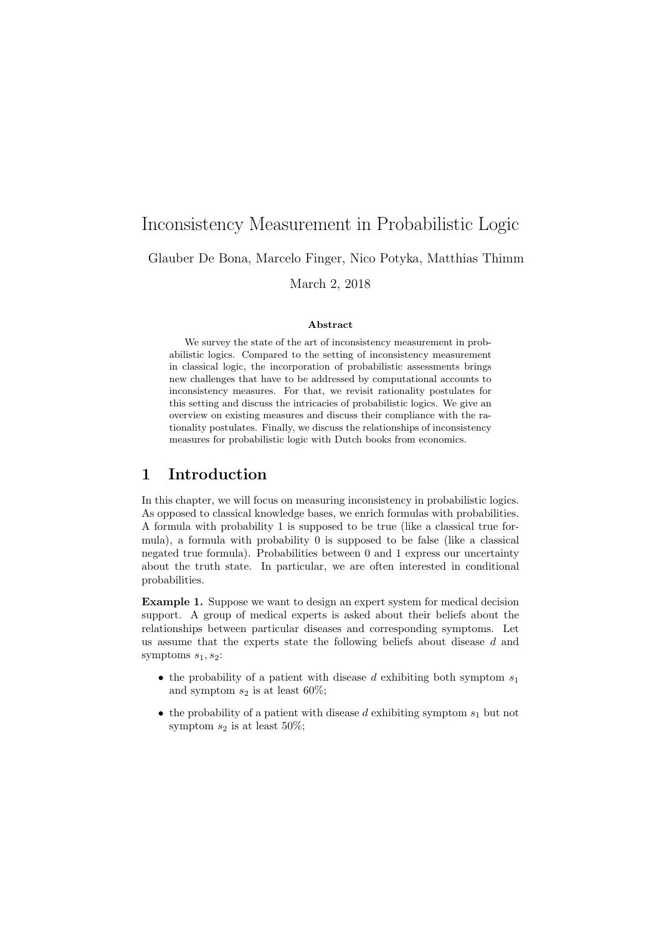# Inconsistency Measurement in Probabilistic Logic

Glauber De Bona, Marcelo Finger, Nico Potyka, Matthias Thimm

March 2, 2018

#### Abstract

We survey the state of the art of inconsistency measurement in probabilistic logics. Compared to the setting of inconsistency measurement in classical logic, the incorporation of probabilistic assessments brings new challenges that have to be addressed by computational accounts to inconsistency measures. For that, we revisit rationality postulates for this setting and discuss the intricacies of probabilistic logics. We give an overview on existing measures and discuss their compliance with the rationality postulates. Finally, we discuss the relationships of inconsistency measures for probabilistic logic with Dutch books from economics.

# 1 Introduction

In this chapter, we will focus on measuring inconsistency in probabilistic logics. As opposed to classical knowledge bases, we enrich formulas with probabilities. A formula with probability 1 is supposed to be true (like a classical true formula), a formula with probability 0 is supposed to be false (like a classical negated true formula). Probabilities between 0 and 1 express our uncertainty about the truth state. In particular, we are often interested in conditional probabilities.

Example 1. Suppose we want to design an expert system for medical decision support. A group of medical experts is asked about their beliefs about the relationships between particular diseases and corresponding symptoms. Let us assume that the experts state the following beliefs about disease d and symptoms  $s_1, s_2$ :

- the probability of a patient with disease d exhibiting both symptom  $s_1$ and symptom  $s_2$  is at least 60%;
- the probability of a patient with disease d exhibiting symptom  $s_1$  but not symptom  $s_2$  is at least 50%;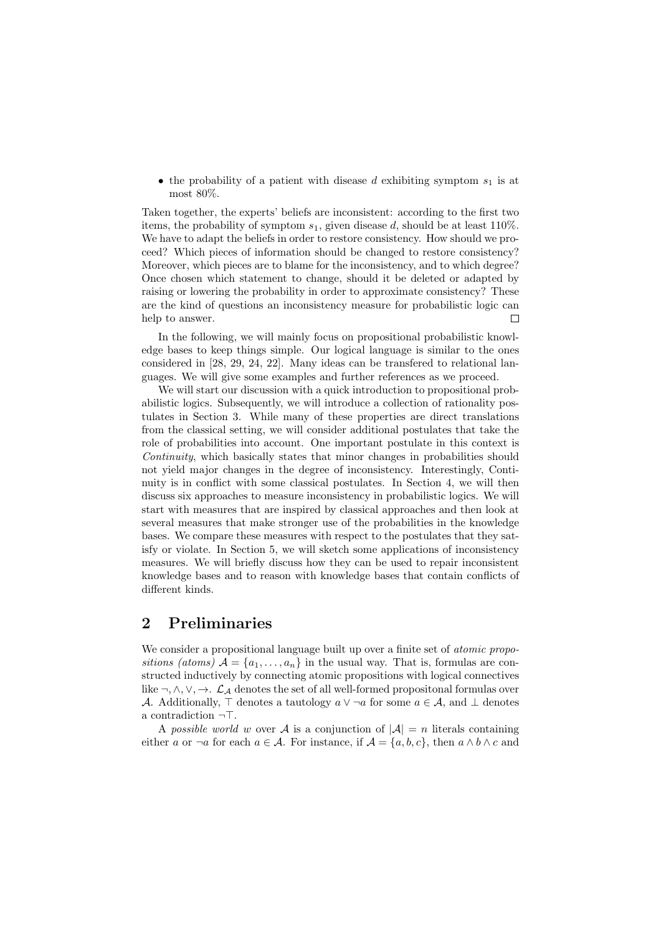• the probability of a patient with disease d exhibiting symptom  $s_1$  is at most 80%.

Taken together, the experts' beliefs are inconsistent: according to the first two items, the probability of symptom  $s_1$ , given disease d, should be at least 110%. We have to adapt the beliefs in order to restore consistency. How should we proceed? Which pieces of information should be changed to restore consistency? Moreover, which pieces are to blame for the inconsistency, and to which degree? Once chosen which statement to change, should it be deleted or adapted by raising or lowering the probability in order to approximate consistency? These are the kind of questions an inconsistency measure for probabilistic logic can help to answer.  $\Box$ 

In the following, we will mainly focus on propositional probabilistic knowledge bases to keep things simple. Our logical language is similar to the ones considered in [28, 29, 24, 22]. Many ideas can be transfered to relational languages. We will give some examples and further references as we proceed.

We will start our discussion with a quick introduction to propositional probabilistic logics. Subsequently, we will introduce a collection of rationality postulates in Section 3. While many of these properties are direct translations from the classical setting, we will consider additional postulates that take the role of probabilities into account. One important postulate in this context is Continuity, which basically states that minor changes in probabilities should not yield major changes in the degree of inconsistency. Interestingly, Continuity is in conflict with some classical postulates. In Section 4, we will then discuss six approaches to measure inconsistency in probabilistic logics. We will start with measures that are inspired by classical approaches and then look at several measures that make stronger use of the probabilities in the knowledge bases. We compare these measures with respect to the postulates that they satisfy or violate. In Section 5, we will sketch some applications of inconsistency measures. We will briefly discuss how they can be used to repair inconsistent knowledge bases and to reason with knowledge bases that contain conflicts of different kinds.

# 2 Preliminaries

We consider a propositional language built up over a finite set of *atomic propo*sitions (atoms)  $\mathcal{A} = \{a_1, \ldots, a_n\}$  in the usual way. That is, formulas are constructed inductively by connecting atomic propositions with logical connectives like  $\neg, \wedge, \vee, \rightarrow$ .  $\mathcal{L}_{\mathcal{A}}$  denotes the set of all well-formed propositonal formulas over A. Additionally,  $\top$  denotes a tautology  $a \vee \neg a$  for some  $a \in \mathcal{A}$ , and  $\bot$  denotes a contradiction  $\neg$ .

A possible world w over A is a conjunction of  $|\mathcal{A}| = n$  literals containing either a or  $\neg a$  for each  $a \in \mathcal{A}$ . For instance, if  $\mathcal{A} = \{a, b, c\}$ , then  $a \wedge b \wedge c$  and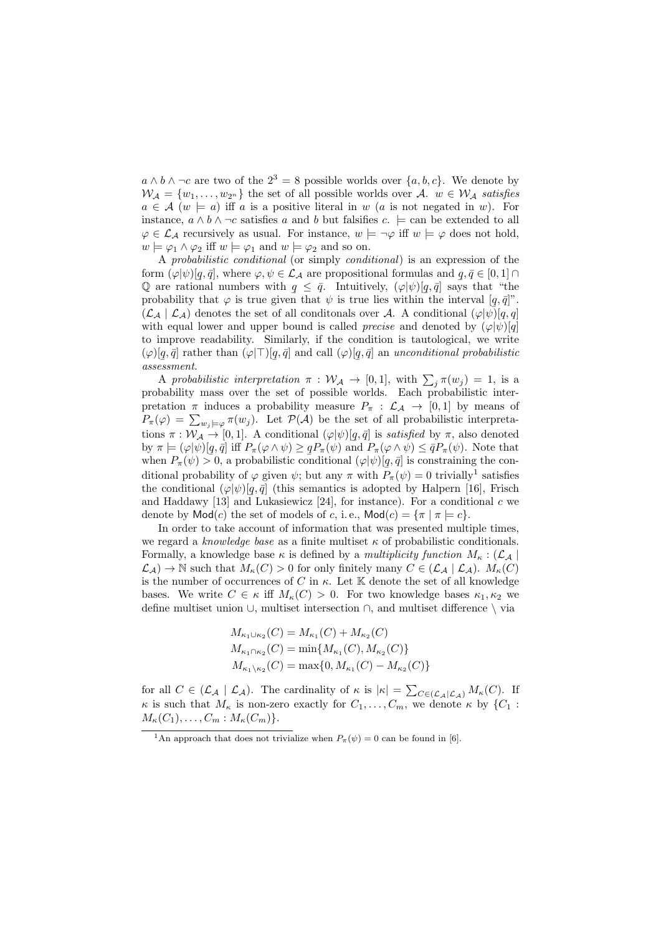$a \wedge b \wedge \neg c$  are two of the  $2^3 = 8$  possible worlds over  $\{a, b, c\}$ . We denote by  $W_A = \{w_1, \ldots, w_{2^n}\}\$ the set of all possible worlds over A.  $w \in W_A$  satisfies  $a \in \mathcal{A}$   $(w \models a)$  iff a is a positive literal in w (a is not negated in w). For instance,  $a \wedge b \wedge \neg c$  satisfies a and b but falsifies  $c. \models$  can be extended to all  $\varphi \in \mathcal{L}_{\mathcal{A}}$  recursively as usual. For instance,  $w \models \neg \varphi$  iff  $w \models \varphi$  does not hold,  $w \models \varphi_1 \land \varphi_2$  iff  $w \models \varphi_1$  and  $w \models \varphi_2$  and so on.

A probabilistic conditional (or simply conditional) is an expression of the form  $(\varphi|\psi) [q, \bar{q}],$  where  $\varphi, \psi \in \mathcal{L}_{\mathcal{A}}$  are propositional formulas and  $q, \bar{q} \in [0, 1] \cap$ Q are rational numbers with  $q \leq \bar{q}$ . Intuitively,  $(\varphi|\psi) [q, \bar{q}]$  says that "the probability that  $\varphi$  is true given that  $\psi$  is true lies within the interval  $[q, \bar{q}]$ ".  $(\mathcal{L}_{\mathcal{A}} | \mathcal{L}_{\mathcal{A}})$  denotes the set of all conditionals over A. A conditional  $(\varphi|\psi) [q, q]$ with equal lower and upper bound is called *precise* and denoted by  $(\varphi|\psi)[q]$ to improve readability. Similarly, if the condition is tautological, we write  $(\varphi) [q, \bar{q}]$  rather than  $(\varphi | \top) [$  $ass the result.$ ¯  $[q, \bar{q}]$  and call  $(\varphi)[q]$ ¯  $[q,\bar{q}]$  an unconditional probabilistic

A probabilistic interpretation  $\pi : \mathcal{W}_{\mathcal{A}} \to [0,1]$ , with  $\sum_j \pi(w_j) = 1$ , is a probability mass over the set of possible worlds. Each probabilistic interpretation  $\pi$  induces a probability measure  $P_{\pi}$ :  $\mathcal{L}_{\mathcal{A}} \to [0,1]$  by means of  $P_{\pi}(\varphi) = \sum_{w_j \models \varphi} \pi(w_j)$ . Let  $\mathcal{P}(\mathcal{A})$  be the set of all probabilistic interpretations  $\pi : \mathcal{W}_\mathcal{A} \to [0,1]$ . A conditional  $(\varphi | \psi) [q, \bar{q}]$  is satisfied by  $\pi$ , also denoted by  $\pi \models (\varphi | \psi) [q, \bar{q}]$  iff  $P_{\pi}(\varphi \wedge \psi) \geq q P_{\pi}(\psi)$  and  $P_{\pi}(\varphi \wedge \psi) \leq \bar{q} P_{\pi}(\psi)$ . Note that when  $P_{\pi}(\psi) > 0$ , a probabilistic conditional  $(\varphi|\psi) [q, \bar{q}]$  is constraining the conditional probability of  $\varphi$  given  $\psi$ ; but any  $\pi$  with  $P_{\pi}(\psi) = 0$  trivially<sup>1</sup> satisfies the conditional  $(\varphi|\psi) [q, \bar{q}]$  (this semantics is adopted by Halpern [16], Frisch and Haddawy [13] and Lukasiewicz [24], for instance). For a conditional  $c$  we denote by  $\textsf{Mod}(c)$  the set of models of c, i. e.,  $\textsf{Mod}(c) = \{\pi \mid \pi \models c\}.$ 

In order to take account of information that was presented multiple times, we regard a knowledge base as a finite multiset  $\kappa$  of probabilistic conditionals. Formally, a knowledge base  $\kappa$  is defined by a *multiplicity function*  $M_{\kappa}$  : ( $\mathcal{L}_{\mathcal{A}}$  $\mathcal{L}_{\mathcal{A}}) \to \mathbb{N}$  such that  $M_{\kappa}(C) > 0$  for only finitely many  $C \in (\mathcal{L}_{\mathcal{A}} | \mathcal{L}_{\mathcal{A}})$ .  $M_{\kappa}(C)$ is the number of occurrences of C in  $\kappa$ . Let K denote the set of all knowledge bases. We write  $C \in \kappa$  iff  $M_{\kappa}(C) > 0$ . For two knowledge bases  $\kappa_1, \kappa_2$  we define multiset union ∪, multiset intersection ∩, and multiset difference \ via

$$
M_{\kappa_1 \cup \kappa_2}(C) = M_{\kappa_1}(C) + M_{\kappa_2}(C)
$$
  
\n
$$
M_{\kappa_1 \cap \kappa_2}(C) = \min\{M_{\kappa_1}(C), M_{\kappa_2}(C)\}
$$
  
\n
$$
M_{\kappa_1 \setminus \kappa_2}(C) = \max\{0, M_{\kappa_1}(C) - M_{\kappa_2}(C)\}
$$

for all  $C \in (\mathcal{L}_{\mathcal{A}} | \mathcal{L}_{\mathcal{A}})$ . The cardinality of  $\kappa$  is  $|\kappa| = \sum_{C \in (\mathcal{L}_{\mathcal{A}} | \mathcal{L}_{\mathcal{A}})} M_{\kappa}(C)$ . If  $\kappa$  is such that  $M_{\kappa}$  is non-zero exactly for  $C_1, \ldots, C_m$ , we denote  $\kappa$  by  $\{C_1$ :  $M_{\kappa}(C_1), \ldots, C_m : M_{\kappa}(C_m) \}.$ 

<sup>&</sup>lt;sup>1</sup>An approach that does not trivialize when  $P_{\pi}(\psi) = 0$  can be found in [6].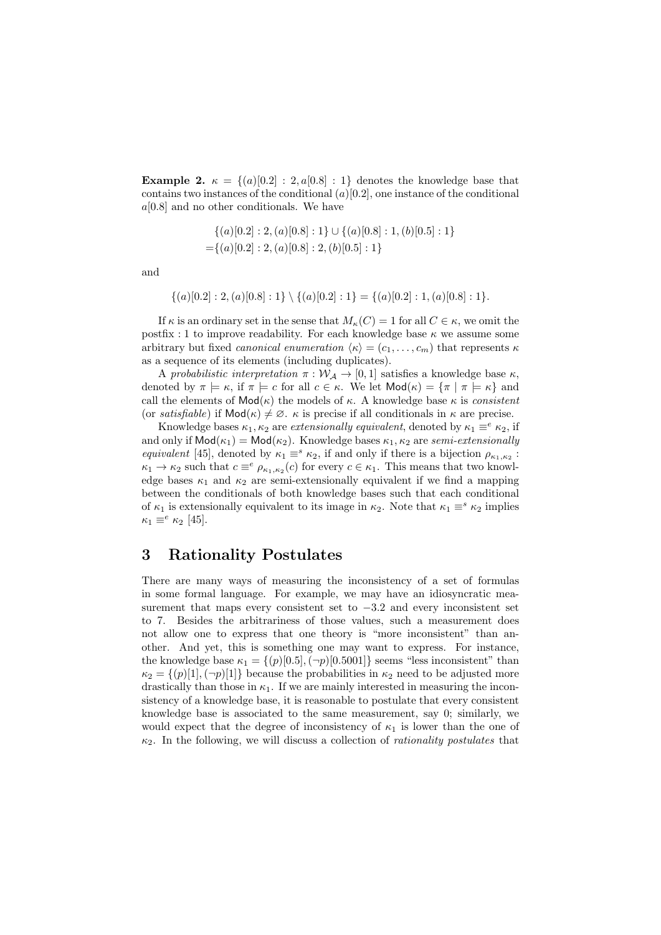Example 2.  $\kappa = \{(a) [0,2] : 2, a[0,8] : 1\}$  denotes the knowledge base that contains two instances of the conditional  $(a)[0.2]$ , one instance of the conditional  $a[0.8]$  and no other conditionals. We have

$$
\{(a)[0.2]: 2, (a)[0.8]: 1\} \cup \{(a)[0.8]: 1, (b)[0.5]: 1\}
$$

$$
= \{(a)[0.2]: 2, (a)[0.8]: 2, (b)[0.5]: 1\}
$$

and

$$
\{(a)[0.2]:2,(a)[0.8]:1\} \setminus \{(a)[0.2]:1\} = \{(a)[0.2]:1,(a)[0.8]:1\}.
$$

If  $\kappa$  is an ordinary set in the sense that  $M_{\kappa}(C) = 1$  for all  $C \in \kappa$ , we omit the postfix : 1 to improve readability. For each knowledge base  $\kappa$  we assume some arbitrary but fixed *canonical enumeration*  $\langle \kappa \rangle = (c_1, \ldots, c_m)$  that represents  $\kappa$ as a sequence of its elements (including duplicates).

A probabilistic interpretation  $\pi : \mathcal{W}_{\mathcal{A}} \to [0,1]$  satisfies a knowledge base  $\kappa$ , denoted by  $\pi \models \kappa$ , if  $\pi \models c$  for all  $c \in \kappa$ . We let  $\mathsf{Mod}(\kappa) = {\pi \mid \pi \models \kappa}$  and call the elements of  $Mod(\kappa)$  the models of  $\kappa$ . A knowledge base  $\kappa$  is consistent (or satisfiable) if  $\text{Mod}(\kappa) \neq \emptyset$ .  $\kappa$  is precise if all conditionals in  $\kappa$  are precise.

Knowledge bases  $\kappa_1, \kappa_2$  are *extensionally equivalent*, denoted by  $\kappa_1 \equiv^e \kappa_2$ , if and only if  $\text{Mod}(\kappa_1) = \text{Mod}(\kappa_2)$ . Knowledge bases  $\kappa_1, \kappa_2$  are semi-extensionally equivalent [45], denoted by  $\kappa_1 \equiv^s \kappa_2$ , if and only if there is a bijection  $\rho_{\kappa_1,\kappa_2}$ :  $\kappa_1 \to \kappa_2$  such that  $c \equiv^e \rho_{\kappa_1,\kappa_2}(c)$  for every  $c \in \kappa_1$ . This means that two knowledge bases  $\kappa_1$  and  $\kappa_2$  are semi-extensionally equivalent if we find a mapping between the conditionals of both knowledge bases such that each conditional of  $\kappa_1$  is extensionally equivalent to its image in  $\kappa_2$ . Note that  $\kappa_1 \equiv^s \kappa_2$  implies  $\kappa_1 \equiv^e \kappa_2$  [45].

# 3 Rationality Postulates

There are many ways of measuring the inconsistency of a set of formulas in some formal language. For example, we may have an idiosyncratic measurement that maps every consistent set to  $-3.2$  and every inconsistent set to 7. Besides the arbitrariness of those values, such a measurement does not allow one to express that one theory is "more inconsistent" than another. And yet, this is something one may want to express. For instance, the knowledge base  $\kappa_1 = \{(p)[0.5], (\neg p)[0.5001]\}$  seems "less inconsistent" than  $\kappa_2 = \{(p)[1], (\neg p)[1]\}$  because the probabilities in  $\kappa_2$  need to be adjusted more drastically than those in  $\kappa_1$ . If we are mainly interested in measuring the inconsistency of a knowledge base, it is reasonable to postulate that every consistent knowledge base is associated to the same measurement, say 0; similarly, we would expect that the degree of inconsistency of  $\kappa_1$  is lower than the one of  $\kappa_2$ . In the following, we will discuss a collection of *rationality postulates* that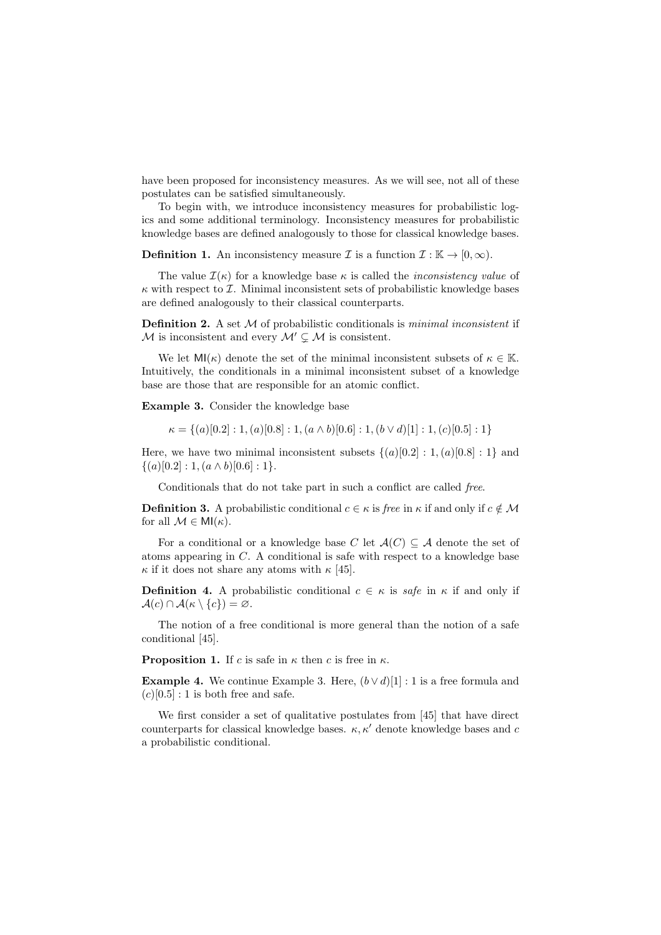have been proposed for inconsistency measures. As we will see, not all of these postulates can be satisfied simultaneously.

To begin with, we introduce inconsistency measures for probabilistic logics and some additional terminology. Inconsistency measures for probabilistic knowledge bases are defined analogously to those for classical knowledge bases.

**Definition 1.** An inconsistency measure  $\mathcal{I}$  is a function  $\mathcal{I} : \mathbb{K} \to [0, \infty)$ .

The value  $\mathcal{I}(\kappa)$  for a knowledge base  $\kappa$  is called the *inconsistency value* of  $\kappa$  with respect to *I*. Minimal inconsistent sets of probabilistic knowledge bases are defined analogously to their classical counterparts.

**Definition 2.** A set  $M$  of probabilistic conditionals is *minimal inconsistent* if  $M$  is inconsistent and every  $M' \subsetneq M$  is consistent.

We let  $\mathsf{MI}(\kappa)$  denote the set of the minimal inconsistent subsets of  $\kappa \in \mathbb{K}$ . Intuitively, the conditionals in a minimal inconsistent subset of a knowledge base are those that are responsible for an atomic conflict.

Example 3. Consider the knowledge base

$$
\kappa = \{(a)[0.2]: 1, (a)[0.8]: 1, (a \wedge b)[0.6]: 1, (b \vee d)[1]: 1, (c)[0.5]: 1\}
$$

Here, we have two minimal inconsistent subsets  $\{(a)[0.2] : 1, (a)[0.8] : 1\}$  and  $\{(a)[0.2]: 1, (a \wedge b)[0.6]: 1\}.$ 

Conditionals that do not take part in such a conflict are called free.

**Definition 3.** A probabilistic conditional  $c \in \kappa$  is free in  $\kappa$  if and only if  $c \notin \mathcal{M}$ for all  $\mathcal{M} \in \mathsf{MI}(\kappa)$ .

For a conditional or a knowledge base C let  $\mathcal{A}(C) \subseteq \mathcal{A}$  denote the set of atoms appearing in C. A conditional is safe with respect to a knowledge base  $\kappa$  if it does not share any atoms with  $\kappa$  [45].

**Definition 4.** A probabilistic conditional  $c \in \kappa$  is safe in  $\kappa$  if and only if  $\mathcal{A}(c) \cap \mathcal{A}(\kappa \setminus \{c\}) = \varnothing.$ 

The notion of a free conditional is more general than the notion of a safe conditional [45].

**Proposition 1.** If c is safe in  $\kappa$  then c is free in  $\kappa$ .

**Example 4.** We continue Example 3. Here,  $(b \vee d)[1] : 1$  is a free formula and  $(c)[0.5]$ : 1 is both free and safe.

We first consider a set of qualitative postulates from [45] that have direct counterparts for classical knowledge bases.  $\kappa$ ,  $\kappa'$  denote knowledge bases and c a probabilistic conditional.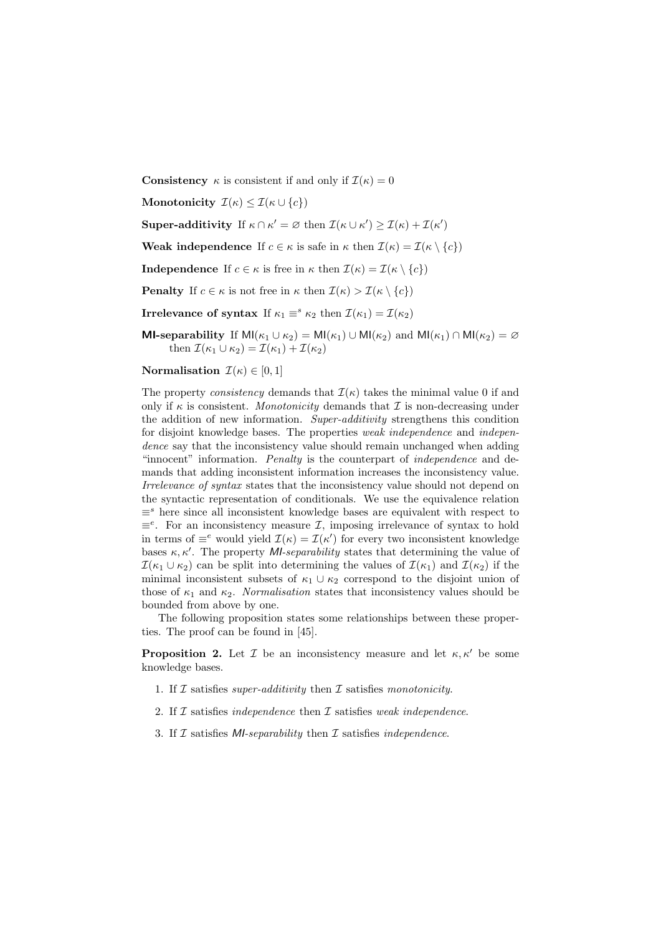**Consistency**  $\kappa$  is consistent if and only if  $\mathcal{I}(\kappa) = 0$ 

Monotonicity  $\mathcal{I}(\kappa) \leq \mathcal{I}(\kappa \cup \{c\})$ 

**Super-additivity** If  $\kappa \cap \kappa' = \varnothing$  then  $\mathcal{I}(\kappa \cup \kappa') \geq \mathcal{I}(\kappa) + \mathcal{I}(\kappa')$ 

Weak independence If  $c \in \kappa$  is safe in  $\kappa$  then  $\mathcal{I}(\kappa) = \mathcal{I}(\kappa \setminus \{c\})$ 

**Independence** If  $c \in \kappa$  is free in  $\kappa$  then  $\mathcal{I}(\kappa) = \mathcal{I}(\kappa \setminus \{c\})$ 

**Penalty** If  $c \in \kappa$  is not free in  $\kappa$  then  $\mathcal{I}(\kappa) > \mathcal{I}(\kappa \setminus \{c\})$ 

**Irrelevance of syntax** If  $\kappa_1 \equiv^s \kappa_2$  then  $\mathcal{I}(\kappa_1) = \mathcal{I}(\kappa_2)$ 

**MI-separability** If  $M1(\kappa_1 \cup \kappa_2) = M1(\kappa_1) \cup M1(\kappa_2)$  and  $M1(\kappa_1) \cap M1(\kappa_2) = \emptyset$ then  $\mathcal{I}(\kappa_1 \cup \kappa_2) = \mathcal{I}(\kappa_1) + \mathcal{I}(\kappa_2)$ 

Normalisation  $\mathcal{I}(\kappa) \in [0,1]$ 

The property consistency demands that  $\mathcal{I}(\kappa)$  takes the minimal value 0 if and only if  $\kappa$  is consistent. Monotonicity demands that  $\mathcal I$  is non-decreasing under the addition of new information. Super-additivity strengthens this condition for disjoint knowledge bases. The properties *weak independence* and *independence* dence say that the inconsistency value should remain unchanged when adding "innocent" information. Penalty is the counterpart of independence and demands that adding inconsistent information increases the inconsistency value. Irrelevance of syntax states that the inconsistency value should not depend on the syntactic representation of conditionals. We use the equivalence relation  $\equiv$ <sup>s</sup> here since all inconsistent knowledge bases are equivalent with respect to  $\equiv^e$ . For an inconsistency measure *I*, imposing irrelevance of syntax to hold in terms of  $\equiv^e$  would yield  $\mathcal{I}(\kappa) = \mathcal{I}(\kappa')$  for every two inconsistent knowledge bases  $\kappa, \kappa'$ . The property *MI-separability* states that determining the value of  $\mathcal{I}(\kappa_1 \cup \kappa_2)$  can be split into determining the values of  $\mathcal{I}(\kappa_1)$  and  $\mathcal{I}(\kappa_2)$  if the minimal inconsistent subsets of  $\kappa_1 \cup \kappa_2$  correspond to the disjoint union of those of  $\kappa_1$  and  $\kappa_2$ . Normalisation states that inconsistency values should be bounded from above by one.

The following proposition states some relationships between these properties. The proof can be found in [45].

**Proposition 2.** Let  $\mathcal{I}$  be an inconsistency measure and let  $\kappa, \kappa'$  be some knowledge bases.

- 1. If  $\mathcal I$  satisfies super-additivity then  $\mathcal I$  satisfies monotonicity.
- 2. If  $\mathcal I$  satisfies *independence* then  $\mathcal I$  satisfies *weak independence*.
- 3. If  $\mathcal I$  satisfies MI-separability then  $\mathcal I$  satisfies independence.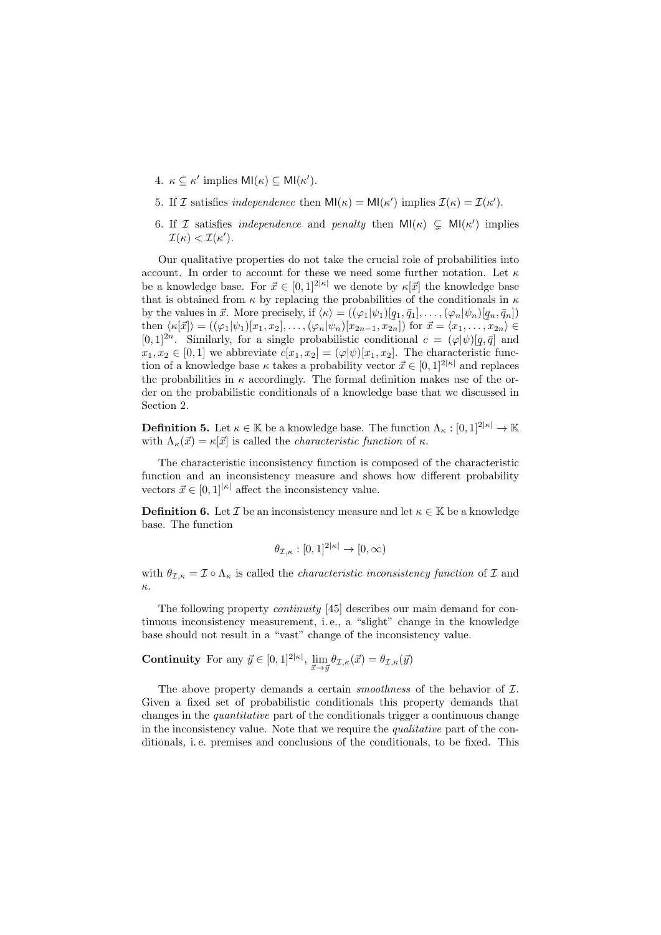- 4.  $\kappa \subseteq \kappa'$  implies  $\mathsf{MI}(\kappa) \subseteq \mathsf{MI}(\kappa').$
- 5. If *I* satisfies independence then  $\text{MI}(\kappa) = \text{MI}(\kappa')$  implies  $\mathcal{I}(\kappa) = \mathcal{I}(\kappa')$ .
- 6. If I satisfies *independence* and *penalty* then  $\mathsf{MI}(\kappa) \subsetneq \mathsf{MI}(\kappa')$  implies  $\mathcal{I}(\kappa) < \mathcal{I}(\kappa').$

Our qualitative properties do not take the crucial role of probabilities into account. In order to account for these we need some further notation. Let  $\kappa$ be a knowledge base. For  $\vec{x} \in [0, 1]^{2|\kappa|}$  we denote by  $\kappa[\vec{x}]$  the knowledge base that is obtained from  $\kappa$  by replacing the probabilities of the conditionals in  $\kappa$ by the values in  $\vec{x}$ . More precisely, if  $\langle \kappa \rangle = ((\varphi_1|\psi_1) [q_1, \bar{q}_1], \ldots, (\varphi_n|\psi_n) [q_n, \bar{q}_n])$ then  $\langle \kappa[\vec{x}] \rangle = ((\varphi_1|\psi_1)[x_1, x_2], \ldots, (\varphi_n|\psi_n)[x_{2n-1}, x_{2n}]$  for  $\vec{x} = \langle x_1, \ldots, x_{2n} \rangle \in$  $[0,1]^{2n}$ . Similarly, for a single probabilistic conditional  $c = (\varphi | \psi) [q, \bar{q}]$  and  $x_1, x_2 \in [0, 1]$  we abbreviate  $c[x_1, x_2] = (\varphi | \psi) [x_1, x_2]$ . The characteristic function of a knowledge base  $\kappa$  takes a probability vector  $\vec{x} \in [0, 1]^{2|\kappa|}$  and replaces the probabilities in  $\kappa$  accordingly. The formal definition makes use of the order on the probabilistic conditionals of a knowledge base that we discussed in Section 2.

**Definition 5.** Let  $\kappa \in \mathbb{K}$  be a knowledge base. The function  $\Lambda_{\kappa} : [0, 1]^{2|\kappa|} \to \mathbb{K}$ with  $\Lambda_{\kappa}(\vec{x}) = \kappa[\vec{x}]$  is called the *characteristic function* of  $\kappa$ .

The characteristic inconsistency function is composed of the characteristic function and an inconsistency measure and shows how different probability vectors  $\vec{x} \in [0, 1]^{|\kappa|}$  affect the inconsistency value.

**Definition 6.** Let  $\mathcal{I}$  be an inconsistency measure and let  $\kappa \in \mathbb{K}$  be a knowledge base. The function

$$
\theta_{\mathcal{I},\kappa}:[0,1]^{2|\kappa|}\to[0,\infty)
$$

with  $\theta_{\mathcal{I},\kappa} = \mathcal{I} \circ \Lambda_{\kappa}$  is called the *characteristic inconsistency function* of  $\mathcal{I}$  and κ.

The following property continuity [45] describes our main demand for continuous inconsistency measurement, i. e., a "slight" change in the knowledge base should not result in a "vast" change of the inconsistency value.

**Continuity** For any  $\vec{y} \in [0, 1]^{2|\kappa|}$ ,  $\lim_{\vec{x} \to \vec{y}} \theta_{\mathcal{I}, \kappa}(\vec{x}) = \theta_{\mathcal{I}, \kappa}(\vec{y})$ 

The above property demands a certain *smoothness* of the behavior of  $I$ . Given a fixed set of probabilistic conditionals this property demands that changes in the quantitative part of the conditionals trigger a continuous change in the inconsistency value. Note that we require the qualitative part of the conditionals, i. e. premises and conclusions of the conditionals, to be fixed. This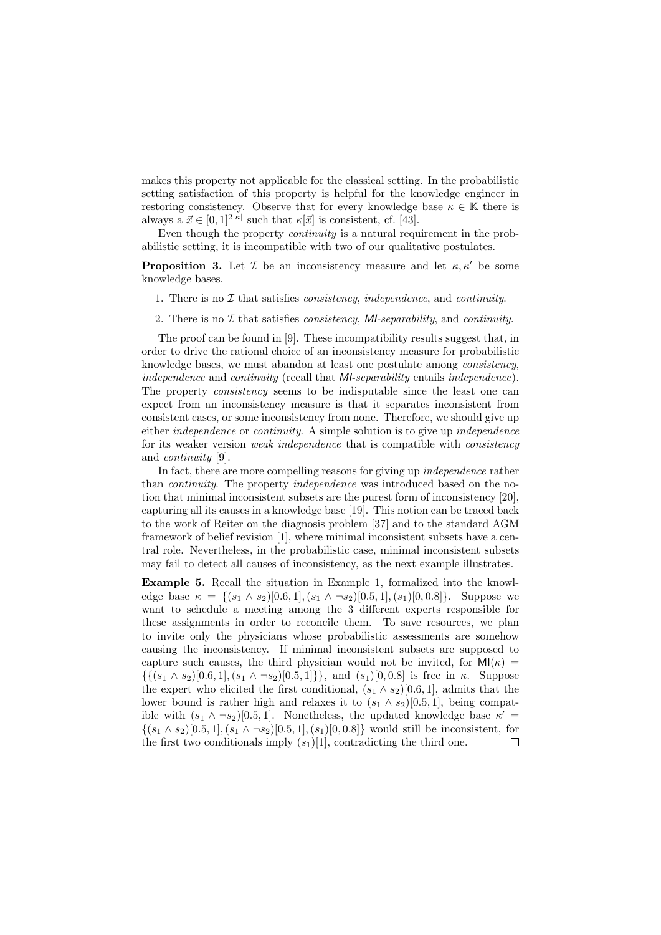makes this property not applicable for the classical setting. In the probabilistic setting satisfaction of this property is helpful for the knowledge engineer in restoring consistency. Observe that for every knowledge base  $\kappa \in \mathbb{K}$  there is always a  $\vec{x} \in [0,1]^{2|\kappa|}$  such that  $\kappa[\vec{x}]$  is consistent, cf. [43].

Even though the property continuity is a natural requirement in the probabilistic setting, it is incompatible with two of our qualitative postulates.

**Proposition 3.** Let  $\mathcal{I}$  be an inconsistency measure and let  $\kappa, \kappa'$  be some knowledge bases.

- 1. There is no  $\mathcal I$  that satisfies *consistency, independence*, and *continuity*.
- 2. There is no  $\mathcal I$  that satisfies *consistency*, *MI-separability*, and *continuity*.

The proof can be found in [9]. These incompatibility results suggest that, in order to drive the rational choice of an inconsistency measure for probabilistic knowledge bases, we must abandon at least one postulate among consistency, independence and continuity (recall that MI-separability entails independence). The property consistency seems to be indisputable since the least one can expect from an inconsistency measure is that it separates inconsistent from consistent cases, or some inconsistency from none. Therefore, we should give up either independence or continuity. A simple solution is to give up independence for its weaker version weak independence that is compatible with consistency and continuity [9].

In fact, there are more compelling reasons for giving up *independence* rather than continuity. The property independence was introduced based on the notion that minimal inconsistent subsets are the purest form of inconsistency [20], capturing all its causes in a knowledge base [19]. This notion can be traced back to the work of Reiter on the diagnosis problem [37] and to the standard AGM framework of belief revision [1], where minimal inconsistent subsets have a central role. Nevertheless, in the probabilistic case, minimal inconsistent subsets may fail to detect all causes of inconsistency, as the next example illustrates.

Example 5. Recall the situation in Example 1, formalized into the knowledge base  $\kappa = \{(s_1 \wedge s_2) [0.6, 1], (s_1 \wedge \neg s_2) [0.5, 1], (s_1) [0, 0.8]\}.$  Suppose we want to schedule a meeting among the 3 different experts responsible for these assignments in order to reconcile them. To save resources, we plan to invite only the physicians whose probabilistic assessments are somehow causing the inconsistency. If minimal inconsistent subsets are supposed to capture such causes, the third physician would not be invited, for  $MI(\kappa)$  =  $\{\{(s_1 \wedge s_2) [0.6, 1], (s_1 \wedge \neg s_2) [0.5, 1]\}\}\$ , and  $(s_1)[0, 0.8]$  is free in  $\kappa$ . Suppose the expert who elicited the first conditional,  $(s_1 \wedge s_2)[0.6, 1]$ , admits that the lower bound is rather high and relaxes it to  $(s_1 \wedge s_2)[0.5, 1]$ , being compatible with  $(s_1 \wedge \neg s_2)[0.5, 1]$ . Nonetheless, the updated knowledge base  $\kappa'$  $\{(s_1 \wedge s_2) [0.5, 1], (s_1 \wedge \neg s_2) [0.5, 1], (s_1) [0, 0.8]\}\$  would still be inconsistent, for the first two conditionals imply  $(s_1)[1]$ , contradicting the third one.  $\Box$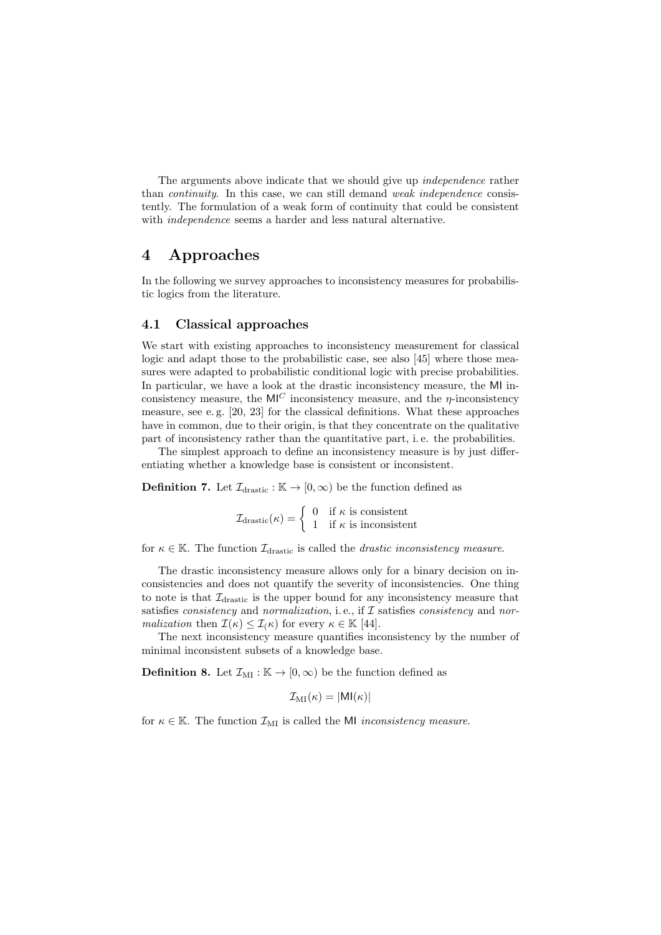The arguments above indicate that we should give up *independence* rather than continuity. In this case, we can still demand weak independence consistently. The formulation of a weak form of continuity that could be consistent with *independence* seems a harder and less natural alternative.

# 4 Approaches

In the following we survey approaches to inconsistency measures for probabilistic logics from the literature.

#### 4.1 Classical approaches

We start with existing approaches to inconsistency measurement for classical logic and adapt those to the probabilistic case, see also [45] where those measures were adapted to probabilistic conditional logic with precise probabilities. In particular, we have a look at the drastic inconsistency measure, the MI inconsistency measure, the  $MI^C$  inconsistency measure, and the  $\eta$ -inconsistency measure, see e. g. [20, 23] for the classical definitions. What these approaches have in common, due to their origin, is that they concentrate on the qualitative part of inconsistency rather than the quantitative part, i. e. the probabilities.

The simplest approach to define an inconsistency measure is by just differentiating whether a knowledge base is consistent or inconsistent.

**Definition 7.** Let  $\mathcal{I}_{\text{drastic}} : \mathbb{K} \to [0, \infty)$  be the function defined as

 $\mathcal{I}_{\text{drastic}}(\kappa) = \begin{cases} 0 & \text{if } \kappa \text{ is consistent} \\ 1 & \text{if } \kappa \text{ is incomplete} \end{cases}$ 1 if  $\kappa$  is inconsistent

for  $\kappa \in \mathbb{K}$ . The function  $\mathcal{I}_{\text{drastic}}$  is called the *drastic inconsistency measure*.

The drastic inconsistency measure allows only for a binary decision on inconsistencies and does not quantify the severity of inconsistencies. One thing to note is that  $\mathcal{I}_{\text{drastic}}$  is the upper bound for any inconsistency measure that satisfies *consistency* and *normalization*, i.e., if  $I$  satisfies *consistency* and *nor*malization then  $\mathcal{I}(\kappa) \leq \mathcal{I}(\kappa)$  for every  $\kappa \in \mathbb{K}$  [44].

The next inconsistency measure quantifies inconsistency by the number of minimal inconsistent subsets of a knowledge base.

**Definition 8.** Let  $\mathcal{I}_{\text{MI}} : \mathbb{K} \to [0, \infty)$  be the function defined as

$$
\mathcal{I}_{\text{MI}}(\kappa) = |\text{MI}(\kappa)|
$$

for  $\kappa \in \mathbb{K}$ . The function  $\mathcal{I}_{\text{MI}}$  is called the MI *inconsistency measure*.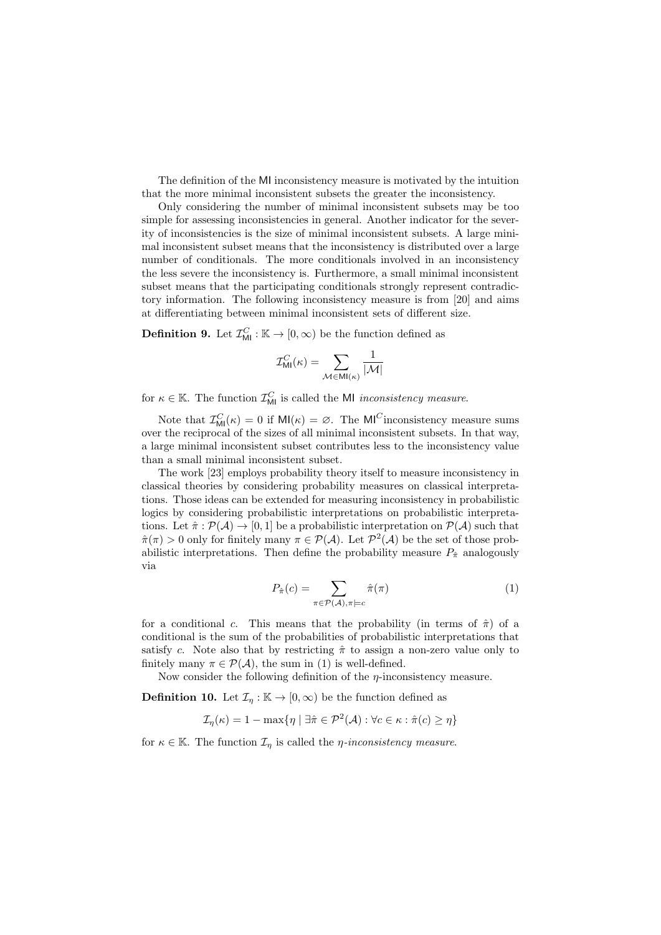The definition of the MI inconsistency measure is motivated by the intuition that the more minimal inconsistent subsets the greater the inconsistency.

Only considering the number of minimal inconsistent subsets may be too simple for assessing inconsistencies in general. Another indicator for the severity of inconsistencies is the size of minimal inconsistent subsets. A large minimal inconsistent subset means that the inconsistency is distributed over a large number of conditionals. The more conditionals involved in an inconsistency the less severe the inconsistency is. Furthermore, a small minimal inconsistent subset means that the participating conditionals strongly represent contradictory information. The following inconsistency measure is from [20] and aims at differentiating between minimal inconsistent sets of different size.

**Definition 9.** Let  $\mathcal{I}_{\text{MI}}^C : \mathbb{K} \to [0, \infty)$  be the function defined as

$$
\mathcal{I}^C_{\mathsf{MI}}(\kappa) = \sum_{\mathcal{M} \in \mathsf{MI}(\kappa)} \frac{1}{|\mathcal{M}|}
$$

for  $\kappa \in \mathbb{K}$ . The function  $\mathcal{I}_{\text{MI}}^C$  is called the MI *inconsistency measure*.

Note that  $\mathcal{I}_{\text{MI}}^C(\kappa) = 0$  if  $\text{MI}(\kappa) = \emptyset$ . The  $\text{MI}^C$  inconsistency measure sums over the reciprocal of the sizes of all minimal inconsistent subsets. In that way, a large minimal inconsistent subset contributes less to the inconsistency value than a small minimal inconsistent subset.

The work [23] employs probability theory itself to measure inconsistency in classical theories by considering probability measures on classical interpretations. Those ideas can be extended for measuring inconsistency in probabilistic logics by considering probabilistic interpretations on probabilistic interpretations. Let  $\hat{\pi} : \mathcal{P}(\mathcal{A}) \to [0, 1]$  be a probabilistic interpretation on  $\mathcal{P}(\mathcal{A})$  such that  $\hat{\pi}(\pi) > 0$  only for finitely many  $\pi \in \mathcal{P}(\mathcal{A})$ . Let  $\mathcal{P}^2(\mathcal{A})$  be the set of those probabilistic interpretations. Then define the probability measure  $P_{\hat{\pi}}$  analogously via

$$
P_{\hat{\pi}}(c) = \sum_{\pi \in \mathcal{P}(\mathcal{A}), \pi \models c} \hat{\pi}(\pi)
$$
 (1)

for a conditional c. This means that the probability (in terms of  $\hat{\pi}$ ) of a conditional is the sum of the probabilities of probabilistic interpretations that satisfy c. Note also that by restricting  $\hat{\pi}$  to assign a non-zero value only to finitely many  $\pi \in \mathcal{P}(\mathcal{A})$ , the sum in (1) is well-defined.

Now consider the following definition of the  $\eta$ -inconsistency measure.

**Definition 10.** Let  $\mathcal{I}_\eta : \mathbb{K} \to [0, \infty)$  be the function defined as

$$
\mathcal{I}_{\eta}(\kappa) = 1 - \max\{\eta \mid \exists \hat{\pi} \in \mathcal{P}^2(\mathcal{A}) : \forall c \in \kappa : \hat{\pi}(c) \ge \eta\}
$$

for  $\kappa \in \mathbb{K}$ . The function  $\mathcal{I}_{\eta}$  is called the *η*-inconsistency measure.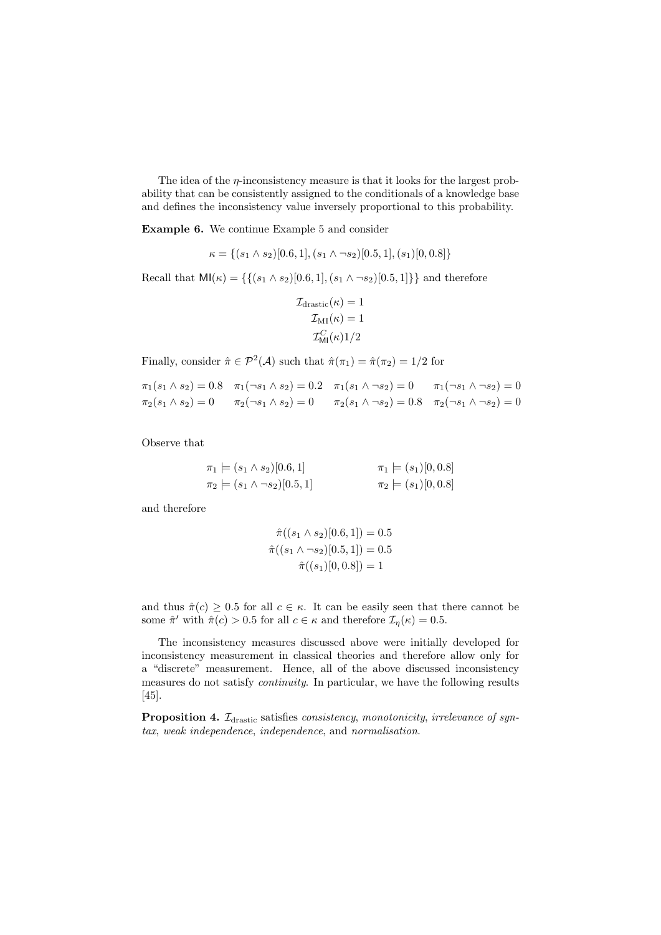The idea of the  $\eta$ -inconsistency measure is that it looks for the largest probability that can be consistently assigned to the conditionals of a knowledge base and defines the inconsistency value inversely proportional to this probability.

Example 6. We continue Example 5 and consider

$$
\kappa = \{ (s_1 \wedge s_2) [0.6, 1], (s_1 \wedge \neg s_2) [0.5, 1], (s_1) [0, 0.8] \}
$$

Recall that  $M1(\kappa) = \{\{(s_1 \wedge s_2) [0.6, 1], (s_1 \wedge \neg s_2) [0.5, 1]\}\}\$ and therefore

$$
\mathcal{I}_{\text{drastic}}(\kappa) = 1
$$

$$
\mathcal{I}_{\text{MI}}(\kappa) = 1
$$

$$
\mathcal{I}_{\text{MI}}^C(\kappa)1/2
$$

Finally, consider  $\hat{\pi} \in \mathcal{P}^2(\mathcal{A})$  such that  $\hat{\pi}(\pi_1) = \hat{\pi}(\pi_2) = 1/2$  for

$$
\pi_1(s_1 \wedge s_2) = 0.8 \quad \pi_1(\neg s_1 \wedge s_2) = 0.2 \quad \pi_1(s_1 \wedge \neg s_2) = 0 \qquad \pi_1(\neg s_1 \wedge \neg s_2) = 0
$$
  

$$
\pi_2(s_1 \wedge s_2) = 0 \qquad \pi_2(\neg s_1 \wedge s_2) = 0 \qquad \pi_2(s_1 \wedge \neg s_2) = 0.8 \qquad \pi_2(\neg s_1 \wedge \neg s_2) = 0
$$

Observe that

$$
\pi_1 \models (s_1 \land s_2)[0.6, 1] \qquad \pi_1 \models (s_1)[0, 0.8]
$$
  

$$
\pi_2 \models (s_1 \land \neg s_2)[0.5, 1] \qquad \pi_2 \models (s_1)[0, 0.8]
$$

and therefore

$$
\hat{\pi}((s_1 \land s_2)[0.6, 1]) = 0.5
$$

$$
\hat{\pi}((s_1 \land \neg s_2)[0.5, 1]) = 0.5
$$

$$
\hat{\pi}((s_1)[0, 0.8]) = 1
$$

and thus  $\hat{\pi}(c) \geq 0.5$  for all  $c \in \kappa$ . It can be easily seen that there cannot be some  $\hat{\pi}'$  with  $\hat{\pi}(c) > 0.5$  for all  $c \in \kappa$  and therefore  $\mathcal{I}_{\eta}(\kappa) = 0.5$ .

The inconsistency measures discussed above were initially developed for inconsistency measurement in classical theories and therefore allow only for a "discrete" measurement. Hence, all of the above discussed inconsistency measures do not satisfy continuity. In particular, we have the following results [45].

Proposition 4.  $\mathcal{I}_{\text{drastic}}$  satisfies consistency, monotonicity, irrelevance of syntax, weak independence, independence, and normalisation.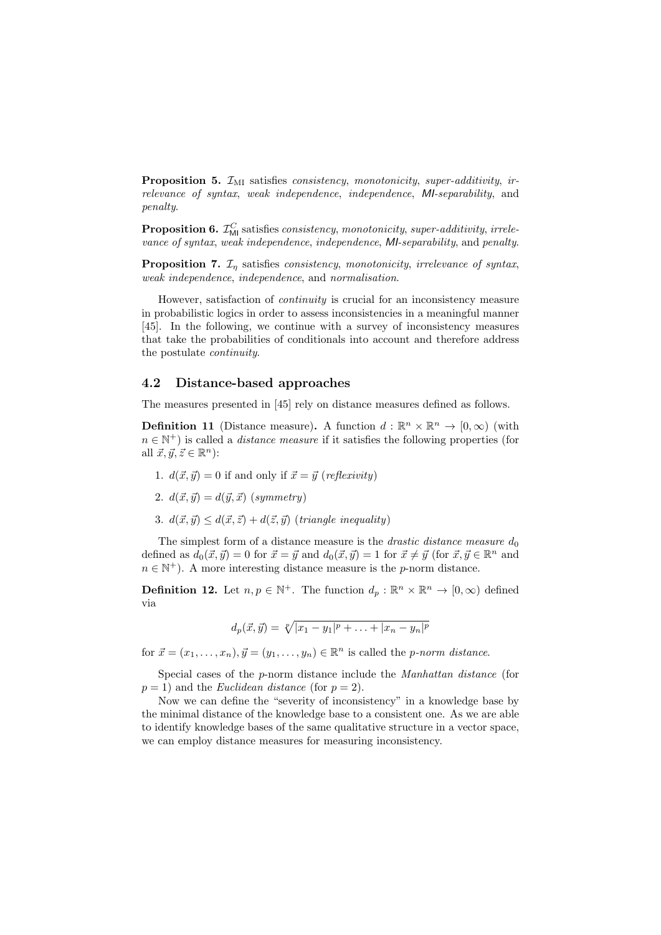**Proposition 5.**  $\mathcal{I}_{MI}$  satisfies *consistency, monotonicity, super-additivity, ir*relevance of syntax, weak independence, independence, MI-separability, and penalty.

**Proposition 6.**  $\mathcal{I}_{\mathsf{MI}}^C$  satisfies consistency, monotonicity, super-additivity, irrelevance of syntax, weak independence, independence, MI-separability, and penalty.

**Proposition 7.**  $\mathcal{I}_n$  satisfies *consistency, monotonicity, irrelevance of syntax,* weak independence, independence, and normalisation.

However, satisfaction of continuity is crucial for an inconsistency measure in probabilistic logics in order to assess inconsistencies in a meaningful manner [45]. In the following, we continue with a survey of inconsistency measures that take the probabilities of conditionals into account and therefore address the postulate continuity.

#### 4.2 Distance-based approaches

The measures presented in [45] rely on distance measures defined as follows.

**Definition 11** (Distance measure). A function  $d : \mathbb{R}^n \times \mathbb{R}^n \to [0, \infty)$  (with  $n \in \mathbb{N}^+$ ) is called a *distance measure* if it satisfies the following properties (for all  $\vec{x}, \vec{y}, \vec{z} \in \mathbb{R}^n$ :

- 1.  $d(\vec{x}, \vec{y}) = 0$  if and only if  $\vec{x} = \vec{y}$  (reflexivity)
- 2.  $d(\vec{x}, \vec{y}) = d(\vec{y}, \vec{x})$  (symmetry)
- 3.  $d(\vec{x}, \vec{y}) \leq d(\vec{x}, \vec{z}) + d(\vec{z}, \vec{y})$  (triangle inequality)

The simplest form of a distance measure is the *drastic distance measure*  $d_0$ defined as  $d_0(\vec{x}, \vec{y}) = 0$  for  $\vec{x} = \vec{y}$  and  $d_0(\vec{x}, \vec{y}) = 1$  for  $\vec{x} \neq \vec{y}$  (for  $\vec{x}, \vec{y} \in \mathbb{R}^n$  and  $n \in \mathbb{N}^+$ ). A more interesting distance measure is the *p*-norm distance.

**Definition 12.** Let  $n, p \in \mathbb{N}^+$ . The function  $d_p : \mathbb{R}^n \times \mathbb{R}^n \to [0, \infty)$  defined via

$$
d_p(\vec{x}, \vec{y}) = \sqrt[p]{|x_1 - y_1|^p + \ldots + |x_n - y_n|^p}
$$

for  $\vec{x} = (x_1, \ldots, x_n), \vec{y} = (y_1, \ldots, y_n) \in \mathbb{R}^n$  is called the *p*-norm distance.

Special cases of the p-norm distance include the Manhattan distance (for  $p = 1$ ) and the *Euclidean distance* (for  $p = 2$ ).

Now we can define the "severity of inconsistency" in a knowledge base by the minimal distance of the knowledge base to a consistent one. As we are able to identify knowledge bases of the same qualitative structure in a vector space, we can employ distance measures for measuring inconsistency.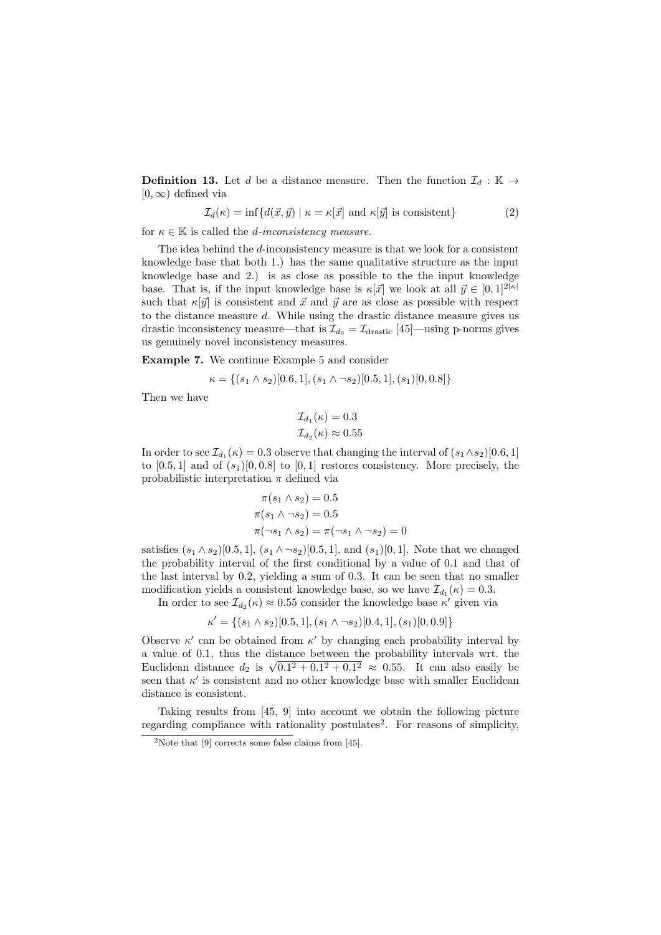**Definition 13.** Let d be a distance measure. Then the function  $\mathcal{I}_d : \mathbb{K} \to$  $[0, \infty)$  defined via

$$
\mathcal{I}_d(\kappa) = \inf \{ d(\vec{x}, \vec{y}) \mid \kappa = \kappa[\vec{x}] \text{ and } \kappa[\vec{y}] \text{ is consistent} \}
$$
 (2)

for  $\kappa \in \mathbb{K}$  is called the *d*-inconsistency measure.

The idea behind the  $d$ -inconsistency measure is that we look for a consistent knowledge base that both 1.) has the same qualitative structure as the input knowledge base and 2.) is as close as possible to the the input knowledge base. That is, if the input knowledge base is  $\kappa[\vec{x}]$  we look at all  $\vec{y} \in [0, 1]^{2|\kappa|}$ such that  $\kappa[\vec{y}]$  is consistent and  $\vec{x}$  and  $\vec{y}$  are as close as possible with respect to the distance measure  $d$ . While using the drastic distance measure gives us drastic inconsistency measure—that is  $\mathcal{I}_{d_0} = \mathcal{I}_{\text{drastic}}$  [45]—using p-norms gives us genuinely novel inconsistency measures.

Example 7. We continue Example 5 and consider

$$
\kappa = \{ (s_1 \wedge s_2) [0.6, 1], (s_1 \wedge \neg s_2) [0.5, 1], (s_1) [0, 0.8] \}
$$

Then we have

$$
\mathcal{I}_{d_1}(\kappa) = 0.3
$$
  

$$
\mathcal{I}_{d_2}(\kappa) \approx 0.55
$$

In order to see  $\mathcal{I}_{d_1}(\kappa) = 0.3$  observe that changing the interval of  $(s_1 \wedge s_2)[0.6, 1]$ to  $[0.5, 1]$  and of  $(s_1)[0, 0.8]$  to  $[0, 1]$  restores consistency. More precisely, the probabilistic interpretation  $\pi$  defined via

$$
\pi(s_1 \wedge s_2) = 0.5
$$
  

$$
\pi(s_1 \wedge \neg s_2) = 0.5
$$
  

$$
\pi(\neg s_1 \wedge s_2) = \pi(\neg s_1 \wedge \neg s_2) = 0
$$

satisfies  $(s_1 \land s_2)$ [0.5, 1],  $(s_1 \land \neg s_2)$ [0.5, 1], and  $(s_1)$ [0, 1]. Note that we changed the probability interval of the first conditional by a value of 0.1 and that of the last interval by 0.2, yielding a sum of 0.3. It can be seen that no smaller modification yields a consistent knowledge base, so we have  $\mathcal{I}_{d_1}(\kappa) = 0.3$ .

In order to see  $\mathcal{I}_{d_2}(\kappa) \approx 0.55$  consider the knowledge base  $\kappa'$  given via

$$
\kappa' = \{ (s_1 \wedge s_2) [0.5, 1], (s_1 \wedge \neg s_2) [0.4, 1], (s_1) [0, 0.9] \}
$$

Observe  $\kappa'$  can be obtained from  $\kappa'$  by changing each probability interval by a value of 0.1, thus the distance between the probability intervals wrt. the a value of 0.1, thus the distance between the probability intervals wrt. the Euclidean distance  $d_2$  is  $\sqrt{0.1^2 + 0.1^2 + 0.1^2} \approx 0.55$ . It can also easily be seen that  $\kappa'$  is consistent and no other knowledge base with smaller Euclidean distance is consistent.

Taking results from [45, 9] into account we obtain the following picture regarding compliance with rationality postulates<sup>2</sup>. For reasons of simplicity,

<sup>&</sup>lt;sup>2</sup>Note that  $[9]$  corrects some false claims from  $[45]$ .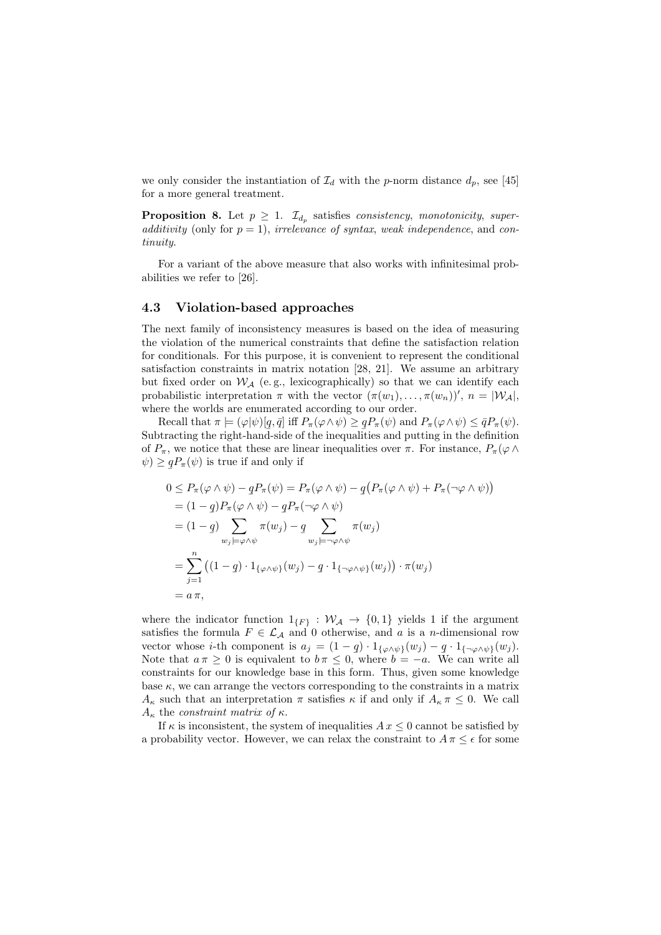we only consider the instantiation of  $\mathcal{I}_d$  with the p-norm distance  $d_p$ , see [45] for a more general treatment.

**Proposition 8.** Let  $p \geq 1$ .  $\mathcal{I}_{d_p}$  satisfies *consistency*, *monotonicity*, *super*additivity (only for  $p = 1$ ), irrelevance of syntax, weak independence, and continuity.

For a variant of the above measure that also works with infinitesimal probabilities we refer to [26].

#### 4.3 Violation-based approaches

The next family of inconsistency measures is based on the idea of measuring the violation of the numerical constraints that define the satisfaction relation for conditionals. For this purpose, it is convenient to represent the conditional satisfaction constraints in matrix notation [28, 21]. We assume an arbitrary but fixed order on  $W_A$  (e.g., lexicographically) so that we can identify each probabilistic interpretation  $\pi$  with the vector  $(\pi(w_1), \ldots, \pi(w_n))'$ ,  $n = |W_{\mathcal{A}}|$ , where the worlds are enumerated according to our order.

Recall that  $\pi \models (\varphi | \psi) [q, \bar{q}]$  iff  $P_{\pi}(\varphi \wedge \psi) \geq q P_{\pi}(\psi)$  and  $P_{\pi}(\varphi \wedge \psi) \leq \bar{q} P_{\pi}(\psi)$ . Subtracting the right-hand-side of the inequalities and putting in the definition of  $P_\pi$ , we notice that these are linear inequalities over  $\pi$ . For instance,  $P_\pi(\varphi \wedge$  $\psi) \geq$  $qP_{\pi}(\psi)$  is true if and only if

$$
0 \le P_{\pi}(\varphi \wedge \psi) - qP_{\pi}(\psi) = P_{\pi}(\varphi \wedge \psi) - q(P_{\pi}(\varphi \wedge \psi) + P_{\pi}(\neg \varphi \wedge \psi))
$$
  
\n
$$
= (1 - q)P_{\pi}(\varphi \wedge \psi) - qP_{\pi}(\neg \varphi \wedge \psi)
$$
  
\n
$$
= (1 - q) \sum_{w_j \models \varphi \wedge \psi} \pi(w_j) - q \sum_{w_j \models \neg \varphi \wedge \psi} \pi(w_j)
$$
  
\n
$$
= \sum_{j=1}^n ((1 - q) \cdot 1_{\{\varphi \wedge \psi\}}(w_j) - q \cdot 1_{\{\neg \varphi \wedge \psi\}}(w_j)) \cdot \pi(w_j)
$$
  
\n
$$
= a \pi,
$$

where the indicator function  $1_{\{F\}} : \mathcal{W}_{\mathcal{A}} \to \{0,1\}$  yields 1 if the argument satisfies the formula  $F \in \mathcal{L}_{\mathcal{A}}$  and 0 otherwise, and a is a n-dimensional row vector whose *i*-th component is  $a_j = (1-q) \cdot 1_{\{\varphi \wedge \psi\}}(w_j) - q \cdot 1_{\{\neg \varphi \wedge \psi\}}(w_j)$ .<br>Note that  $a \pi \geq 0$  is equivalent to  $b \pi \leq 0$  where  $b = -a$ . We can write all Note that  $a \pi \geq 0$  is equivalent to  $b \pi \leq 0$ , where  $b = -a$ . We can write all constraints for our knowledge base in this form. Thus, given some knowledge base  $\kappa$ , we can arrange the vectors corresponding to the constraints in a matrix  $A_{\kappa}$  such that an interpretation  $\pi$  satisfies  $\kappa$  if and only if  $A_{\kappa} \pi \leq 0$ . We call  $A_{\kappa}$  the constraint matrix of  $\kappa$ .

If  $\kappa$  is inconsistent, the system of inequalities  $Ax \leq 0$  cannot be satisfied by a probability vector. However, we can relax the constraint to  $A \pi \leq \epsilon$  for some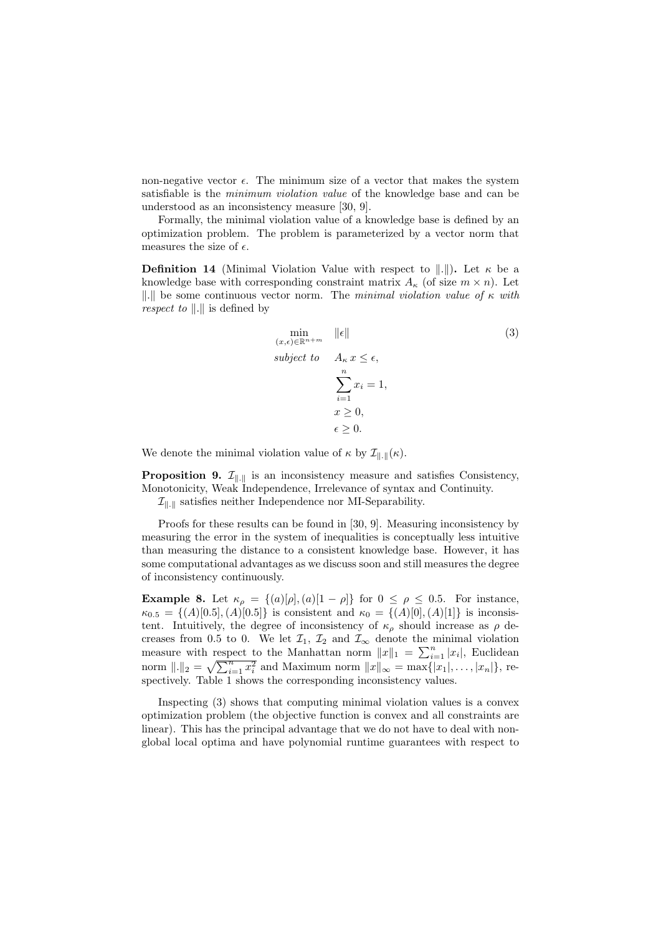non-negative vector  $\epsilon$ . The minimum size of a vector that makes the system satisfiable is the minimum violation value of the knowledge base and can be understood as an inconsistency measure [30, 9].

Formally, the minimal violation value of a knowledge base is defined by an optimization problem. The problem is parameterized by a vector norm that measures the size of  $\epsilon$ .

**Definition 14** (Minimal Violation Value with respect to  $\Vert . \Vert$ ). Let  $\kappa$  be a knowledge base with corresponding constraint matrix  $A_{\kappa}$  (of size  $m \times n$ ). Let ||.|| be some continuous vector norm. The minimal violation value of  $\kappa$  with respect to  $\Vert . \Vert$  is defined by

$$
\min_{\substack{(x,\epsilon)\in\mathbb{R}^{n+m} \\ \text{subject to} \quad A_{\kappa} \, x \, \le \, \epsilon, \\ \sum_{i=1}^{n} x_i = 1, \\ x \ge 0, \\ \epsilon \ge 0.
$$
\n
$$
(3)
$$

We denote the minimal violation value of  $\kappa$  by  $\mathcal{I}_{\parallel \cdot \parallel}(\kappa)$ .

**Proposition 9.**  $\mathcal{I}_{\|\cdot\|}$  is an inconsistency measure and satisfies Consistency, Monotonicity, Weak Independence, Irrelevance of syntax and Continuity.

 $\mathcal{I}_{\|\cdot\|}$  satisfies neither Independence nor MI-Separability.

Proofs for these results can be found in [30, 9]. Measuring inconsistency by measuring the error in the system of inequalities is conceptually less intuitive than measuring the distance to a consistent knowledge base. However, it has some computational advantages as we discuss soon and still measures the degree of inconsistency continuously.

**Example 8.** Let  $\kappa_{\rho} = \{(a)[\rho], (a)[1-\rho]\}$  for  $0 \le \rho \le 0.5$ . For instance,  $\kappa_{0.5} = \{(A) [0.5], (A) [0.5]\}\$ is consistent and  $\kappa_0 = \{(A) [0], (A) [1]\}\$ is inconsistent. Intuitively, the degree of inconsistency of  $\kappa_{\rho}$  should increase as  $\rho$  decreases from 0.5 to 0. We let  $\mathcal{I}_1$ ,  $\mathcal{I}_2$  and  $\mathcal{I}_{\infty}$  denote the minimal violation measure with respect to the Manhattan norm  $||x||_1 = \sum_{i=1}^n |x_i|$ , Euclidean norm  $||.||_2 = \sqrt{\sum_{i=1}^n x_i^2}$  and Maximum norm  $||x||_{\infty} = \max\{|x_1|, \ldots, |x_n|\}$ , respectively. Table 1 shows the corresponding inconsistency values.

Inspecting (3) shows that computing minimal violation values is a convex optimization problem (the objective function is convex and all constraints are linear). This has the principal advantage that we do not have to deal with nonglobal local optima and have polynomial runtime guarantees with respect to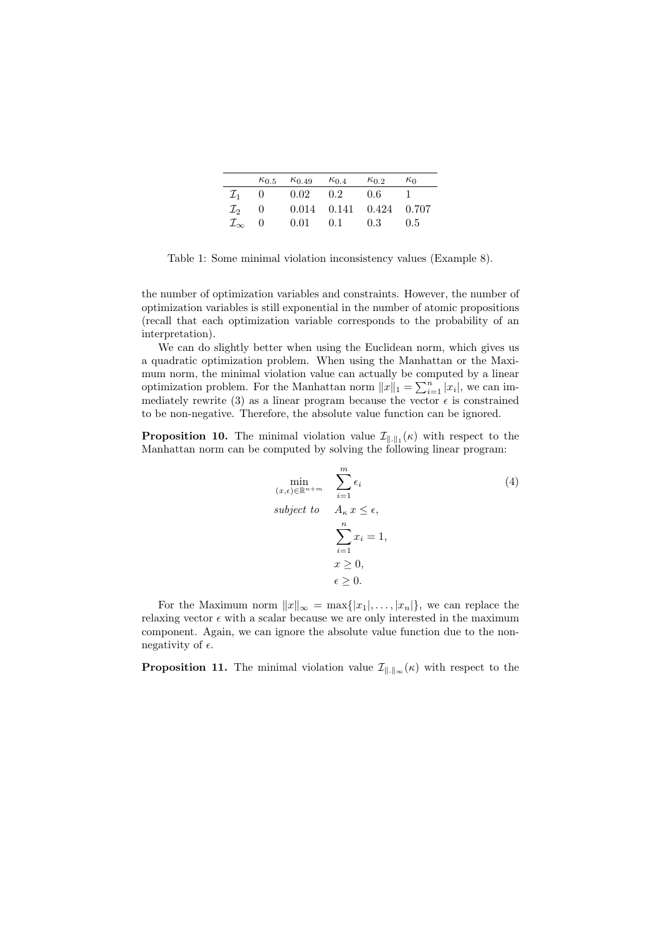|                        |                  | $\kappa_{0.5}$ $\kappa_{0.49}$ | $\kappa_{0,4}$   | $\kappa_{0.2}$                  | $\kappa_0$ |
|------------------------|------------------|--------------------------------|------------------|---------------------------------|------------|
| $\mathcal{I}_1$        | $\left( \right)$ | $0.02 \t 0.2 \t 0.6$           |                  |                                 |            |
| $\mathcal{I}_2$        | $\theta$         |                                |                  | $0.014$ $0.141$ $0.424$ $0.707$ |            |
| $\mathcal{I}_{\infty}$ | $\theta$         | 0.01                           | $0.1 \qquad 0.3$ |                                 | 0.5        |

Table 1: Some minimal violation inconsistency values (Example 8).

the number of optimization variables and constraints. However, the number of optimization variables is still exponential in the number of atomic propositions (recall that each optimization variable corresponds to the probability of an interpretation).

We can do slightly better when using the Euclidean norm, which gives us a quadratic optimization problem. When using the Manhattan or the Maximum norm, the minimal violation value can actually be computed by a linear optimization problem. For the Manhattan norm  $||x||_1 = \sum_{i=1}^n |x_i|$ , we can immediately rewrite (3) as a linear program because the vector  $\epsilon$  is constrained to be non-negative. Therefore, the absolute value function can be ignored.

**Proposition 10.** The minimal violation value  $\mathcal{I}_{\|\cdot\|_1}(\kappa)$  with respect to the Manhattan norm can be computed by solving the following linear program:

$$
\min_{\substack{(x,\epsilon)\in\mathbb{R}^{n+m} \\ \text{subject to} \quad \Delta_{\kappa} x \leq \epsilon, \\ \sum_{i=1}^{n} x_i = 1, \\ x \geq 0, \\ \epsilon \geq 0.
$$
\n
$$
(4)
$$

For the Maximum norm  $||x||_{\infty} = \max\{|x_1|, \ldots, |x_n|\}$ , we can replace the relaxing vector  $\epsilon$  with a scalar because we are only interested in the maximum component. Again, we can ignore the absolute value function due to the nonnegativity of  $\epsilon$ .

**Proposition 11.** The minimal violation value  $\mathcal{I}_{\|\cdot\|_{\infty}}(\kappa)$  with respect to the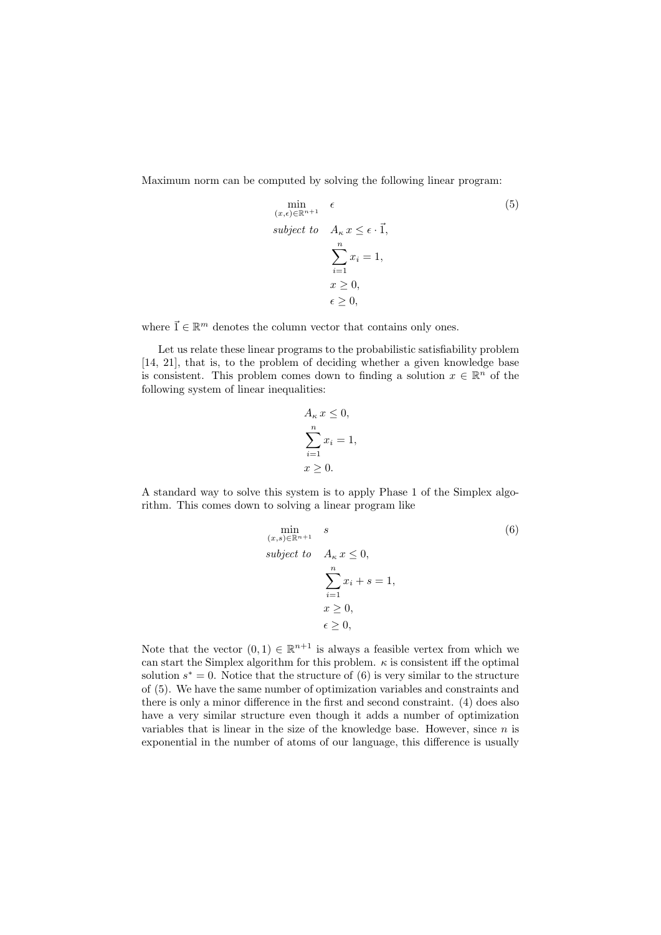Maximum norm can be computed by solving the following linear program:

$$
\min_{(x,\epsilon)\in\mathbb{R}^{n+1}} \epsilon
$$
\n
$$
subject \ to \quad A_{\kappa} x \leq \epsilon \cdot \vec{1},
$$
\n
$$
\sum_{i=1}^{n} x_i = 1,
$$
\n
$$
x \geq 0,
$$
\n
$$
\epsilon \geq 0,
$$

where  $\vec{1} \in \mathbb{R}^m$  denotes the column vector that contains only ones.

Let us relate these linear programs to the probabilistic satisfiability problem [14, 21], that is, to the problem of deciding whether a given knowledge base is consistent. This problem comes down to finding a solution  $x \in \mathbb{R}^n$  of the following system of linear inequalities:

$$
A_{\kappa} x \le 0,
$$
  
\n
$$
\sum_{i=1}^{n} x_i = 1,
$$
  
\n
$$
x \ge 0.
$$

A standard way to solve this system is to apply Phase 1 of the Simplex algorithm. This comes down to solving a linear program like

$$
\min_{(x,s)\in\mathbb{R}^{n+1}} s
$$
\n
$$
subject\ to\ A_{\kappa} x \le 0,
$$
\n
$$
\sum_{i=1}^{n} x_i + s = 1,
$$
\n
$$
x \ge 0,
$$
\n
$$
\epsilon \ge 0,
$$

Note that the vector  $(0,1) \in \mathbb{R}^{n+1}$  is always a feasible vertex from which we can start the Simplex algorithm for this problem.  $\kappa$  is consistent iff the optimal solution  $s^* = 0$ . Notice that the structure of (6) is very similar to the structure of (5). We have the same number of optimization variables and constraints and there is only a minor difference in the first and second constraint. (4) does also have a very similar structure even though it adds a number of optimization variables that is linear in the size of the knowledge base. However, since  $n$  is exponential in the number of atoms of our language, this difference is usually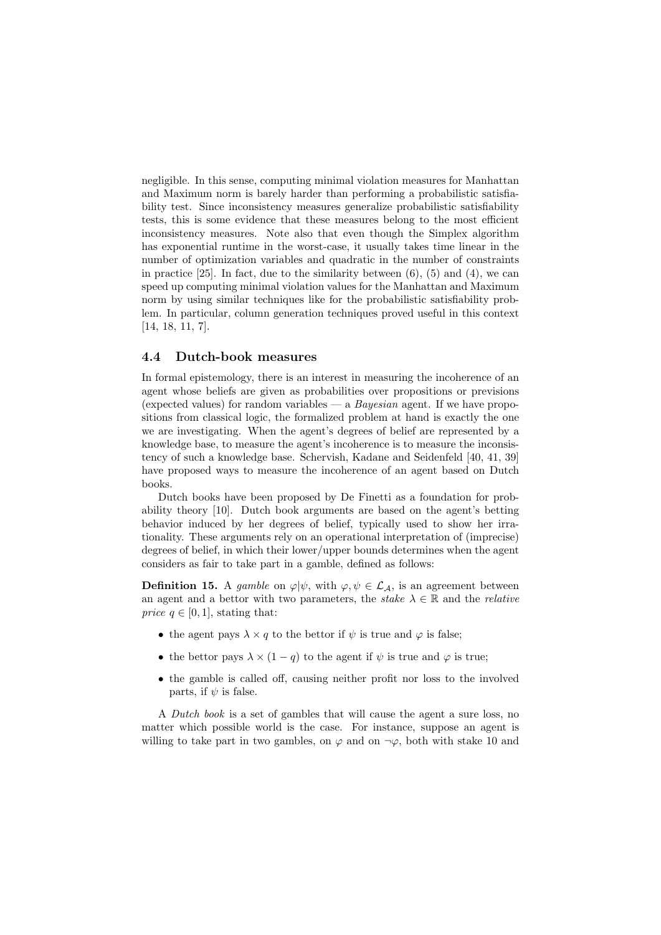negligible. In this sense, computing minimal violation measures for Manhattan and Maximum norm is barely harder than performing a probabilistic satisfiability test. Since inconsistency measures generalize probabilistic satisfiability tests, this is some evidence that these measures belong to the most efficient inconsistency measures. Note also that even though the Simplex algorithm has exponential runtime in the worst-case, it usually takes time linear in the number of optimization variables and quadratic in the number of constraints in practice  $[25]$ . In fact, due to the similarity between  $(6)$ ,  $(5)$  and  $(4)$ , we can speed up computing minimal violation values for the Manhattan and Maximum norm by using similar techniques like for the probabilistic satisfiability problem. In particular, column generation techniques proved useful in this context [14, 18, 11, 7].

#### 4.4 Dutch-book measures

In formal epistemology, there is an interest in measuring the incoherence of an agent whose beliefs are given as probabilities over propositions or previsions (expected values) for random variables — a  $Bayesian$  agent. If we have propositions from classical logic, the formalized problem at hand is exactly the one we are investigating. When the agent's degrees of belief are represented by a knowledge base, to measure the agent's incoherence is to measure the inconsistency of such a knowledge base. Schervish, Kadane and Seidenfeld [40, 41, 39] have proposed ways to measure the incoherence of an agent based on Dutch books.

Dutch books have been proposed by De Finetti as a foundation for probability theory [10]. Dutch book arguments are based on the agent's betting behavior induced by her degrees of belief, typically used to show her irrationality. These arguments rely on an operational interpretation of (imprecise) degrees of belief, in which their lower/upper bounds determines when the agent considers as fair to take part in a gamble, defined as follows:

**Definition 15.** A gamble on  $\varphi | \psi$ , with  $\varphi, \psi \in \mathcal{L}_{\mathcal{A}}$ , is an agreement between an agent and a bettor with two parameters, the stake  $\lambda \in \mathbb{R}$  and the *relative price*  $q \in [0, 1]$ , stating that:

- the agent pays  $\lambda \times q$  to the bettor if  $\psi$  is true and  $\varphi$  is false;
- the bettor pays  $\lambda \times (1-q)$  to the agent if  $\psi$  is true and  $\varphi$  is true;
- the gamble is called off, causing neither profit nor loss to the involved parts, if  $\psi$  is false.

A Dutch book is a set of gambles that will cause the agent a sure loss, no matter which possible world is the case. For instance, suppose an agent is willing to take part in two gambles, on  $\varphi$  and on  $\neg \varphi$ , both with stake 10 and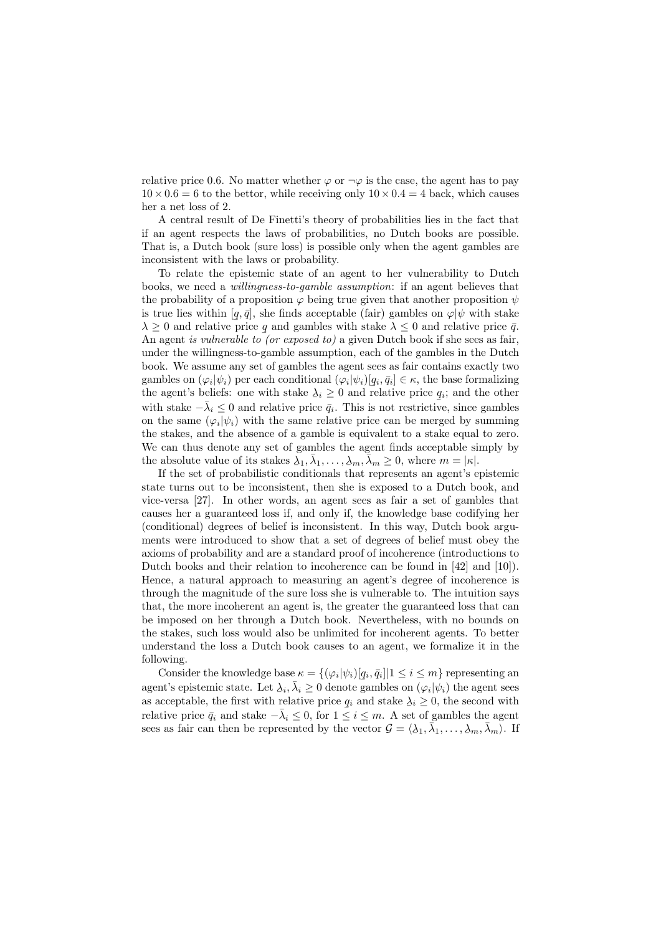relative price 0.6. No matter whether  $\varphi$  or  $\neg \varphi$  is the case, the agent has to pay  $10 \times 0.6 = 6$  to the bettor, while receiving only  $10 \times 0.4 = 4$  back, which causes her a net loss of 2.

A central result of De Finetti's theory of probabilities lies in the fact that if an agent respects the laws of probabilities, no Dutch books are possible. That is, a Dutch book (sure loss) is possible only when the agent gambles are inconsistent with the laws or probability.

To relate the epistemic state of an agent to her vulnerability to Dutch books, we need a willingness-to-gamble assumption: if an agent believes that the probability of a proposition  $\varphi$  being true given that another proposition  $\psi$ is true lies within  $[q, \bar{q}]$ , she finds acceptable (fair) gambles on  $\varphi | \psi$  with stake  $\lambda \geq 0$  and relative price q and gambles with stake  $\lambda \leq 0$  and relative price  $\bar{q}$ . An agent is vulnerable to (or exposed to) a given Dutch book if she sees as fair, under the willingness-to-gamble assumption, each of the gambles in the Dutch book. We assume any set of gambles the agent sees as fair contains exactly two gambles on  $(\varphi_i|\psi_i)$  per each conditional  $(\varphi_i|\psi_i)$   $[q_i, \bar{q}_i] \in \kappa$ , the base formalizing the agent's beliefs: one with stake  $\lambda_i \geq 0$  and relative price  $q_i$ ; and the other with stake  $-\bar{\lambda}_i \leq 0$  and relative price  $\bar{q}_i$ . This is not restrictive, since gambles on the same  $(\varphi_i|\psi_i)$  with the same relative price can be merged by summing the stakes, and the absence of a gamble is equivalent to a stake equal to zero. We can thus denote any set of gambles the agent finds acceptable simply by the absolute value of its stakes  $\overline{\lambda}_1, \overline{\lambda}_1, \ldots, \underline{\lambda}_m, \overline{\overline{\lambda}}_m \geq 0$ , where  $m = |\kappa|$ .

If the set of probabilistic conditionals that represents an agent's epistemic state turns out to be inconsistent, then she is exposed to a Dutch book, and vice-versa [27]. In other words, an agent sees as fair a set of gambles that causes her a guaranteed loss if, and only if, the knowledge base codifying her (conditional) degrees of belief is inconsistent. In this way, Dutch book arguments were introduced to show that a set of degrees of belief must obey the axioms of probability and are a standard proof of incoherence (introductions to Dutch books and their relation to incoherence can be found in [42] and [10]). Hence, a natural approach to measuring an agent's degree of incoherence is through the magnitude of the sure loss she is vulnerable to. The intuition says that, the more incoherent an agent is, the greater the guaranteed loss that can be imposed on her through a Dutch book. Nevertheless, with no bounds on the stakes, such loss would also be unlimited for incoherent agents. To better understand the loss a Dutch book causes to an agent, we formalize it in the following.

Consider the knowledge base  $\kappa = \{(\varphi_i | \psi_i) [q_i, \bar{q}_i] | 1 \leq i \leq m\}$  representing an agent's epistemic state. Let  $\lambda_i, \bar{\lambda}_i \geq 0$  denote gambles on  $(\varphi_i | \psi_i)$  the agent sees as acceptable, the first with relative price  $q_i$  and stake  $\lambda_i \geq 0$ , the second with relative price  $\bar{q}_i$  and stake  $-\bar{\lambda}_i \leq 0$ , for  $1 \leq i \leq m$ . A set of gambles the agent sees as fair can then be represented by the vector  $\mathcal{G} = \langle \lambda_1, \overline{\lambda}_1, \dots, \lambda_m, \overline{\lambda}_m \rangle$ . If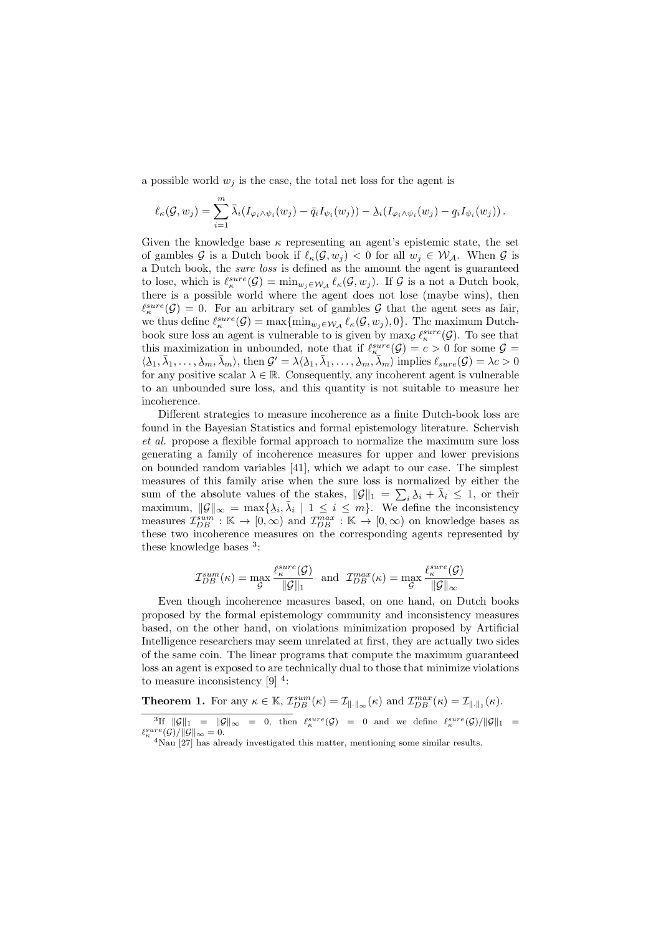a possible world  $w_i$  is the case, the total net loss for the agent is

$$
\ell_{\kappa}(\mathcal{G}, w_j) = \sum_{i=1}^m \bar{\lambda}_i (I_{\varphi_i \wedge \psi_i}(w_j) - \bar{q}_i I_{\psi_i}(w_j)) - \lambda_i (I_{\varphi_i \wedge \psi_i}(w_j) - \underline{q}_i I_{\psi_i}(w_j)).
$$

Given the knowledge base  $\kappa$  representing an agent's epistemic state, the set of gambles G is a Dutch book if  $\ell_{\kappa}(\mathcal{G}, w_j) < 0$  for all  $w_j \in \mathcal{W}_\mathcal{A}$ . When G is a Dutch book, the sure loss is defined as the amount the agent is guaranteed to lose, which is  $\ell_{\kappa}^{sure}(\mathcal{G}) = \min_{w_j \in \mathcal{W}_\mathcal{A}} \ell_{\kappa}(\mathcal{G}, w_j)$ . If  $\mathcal{G}$  is a not a Dutch book, there is a possible world where the agent does not lose (maybe wins), then  $\ell_{\kappa}^{sure}(\mathcal{G}) = 0$ . For an arbitrary set of gambles G that the agent sees as fair, we thus define  $\ell_{\kappa}^{sure}(\mathcal{G}) = \max \{ \min_{w_j \in \mathcal{W}_{\mathcal{A}}} \ell_{\kappa}(\mathcal{G}, w_j), 0 \}.$  The maximum Dutchbook sure loss an agent is vulnerable to is given by  $\max_{\mathcal{G}} \ell_{\kappa}^{sure}(\mathcal{G})$ . To see that this maximization in unbounded, note that if  $\ell_{\kappa}^{sure}(\mathcal{G}) = c > 0$  for some  $\mathcal{G} =$  $\langle \lambda_1, \overline{\lambda}_1, \ldots, \lambda_m, \overline{\lambda}_m \rangle$ , then  $\mathcal{G}' = \lambda \langle \lambda_1, \overline{\lambda}_1, \ldots, \lambda_m, \overline{\lambda}_m \rangle$  implies  $\ell_{sure}(\mathcal{G}) = \lambda c > 0$ for any positive scalar  $\lambda \in \mathbb{R}$ . Consequently, any incoherent agent is vulnerable to an unbounded sure loss, and this quantity is not suitable to measure her incoherence.

Different strategies to measure incoherence as a finite Dutch-book loss are found in the Bayesian Statistics and formal epistemology literature. Schervish et al. propose a flexible formal approach to normalize the maximum sure loss generating a family of incoherence measures for upper and lower previsions on bounded random variables [41], which we adapt to our case. The simplest measures of this family arise when the sure loss is normalized by either the sum of the absolute values of the stakes,  $\|\mathcal{G}\|_1 = \sum_i \lambda_i + \bar{\lambda}_i \leq 1$ , or their maximum,  $||\mathcal{G}||_{\infty} = \max\{\lambda_i, \overline{\lambda}_i \mid 1 \leq i \leq m\}$ . We define the inconsistency measures  $\mathcal{I}_{DB}^{sum}$ : K  $\rightarrow$  [0,  $\infty$ ) and  $\mathcal{I}_{DB}^{max}$ : K  $\rightarrow$  [0,  $\infty$ ) on knowledge bases as these two incoherence measures on the corresponding agents represented by these knowledge bases  $3$ :

$$
\mathcal{I}_{DB}^{sum}(\kappa) = \max_{\mathcal{G}} \frac{\ell_{\kappa}^{sure}(\mathcal{G})}{\|\mathcal{G}\|_1} \text{ and } \mathcal{I}_{DB}^{max}(\kappa) = \max_{\mathcal{G}} \frac{\ell_{\kappa}^{sure}(\mathcal{G})}{\|\mathcal{G}\|_{\infty}}
$$

Even though incoherence measures based, on one hand, on Dutch books proposed by the formal epistemology community and inconsistency measures based, on the other hand, on violations minimization proposed by Artificial Intelligence researchers may seem unrelated at first, they are actually two sides of the same coin. The linear programs that compute the maximum guaranteed loss an agent is exposed to are technically dual to those that minimize violations to measure inconsistency  $[9]$ <sup>4</sup>:

**Theorem 1.** For any  $\kappa \in \mathbb{K}$ ,  $\mathcal{I}_{DB}^{sum}(\kappa) = \mathcal{I}_{\|\cdot\|_{\infty}}(\kappa)$  and  $\mathcal{I}_{DB}^{max}(\kappa) = \mathcal{I}_{\|\cdot\|_{1}}(\kappa)$ .

 ${}^{3}\text{If } ||\mathcal{G}||_1 = ||\mathcal{G}||_{\infty} = 0, \text{ then } \ell_{\kappa}^{sure}(\mathcal{G}) = 0 \text{ and we define } \ell_{\kappa}^{sure}(\mathcal{G})/||\mathcal{G}||_1 =$  $\ell_{\kappa}^{sure}(\mathcal{G})/||\mathcal{G}||_{\infty} = 0.$ <sup>4</sup>Nau [27] has already investigated this matter, mentioning some similar results.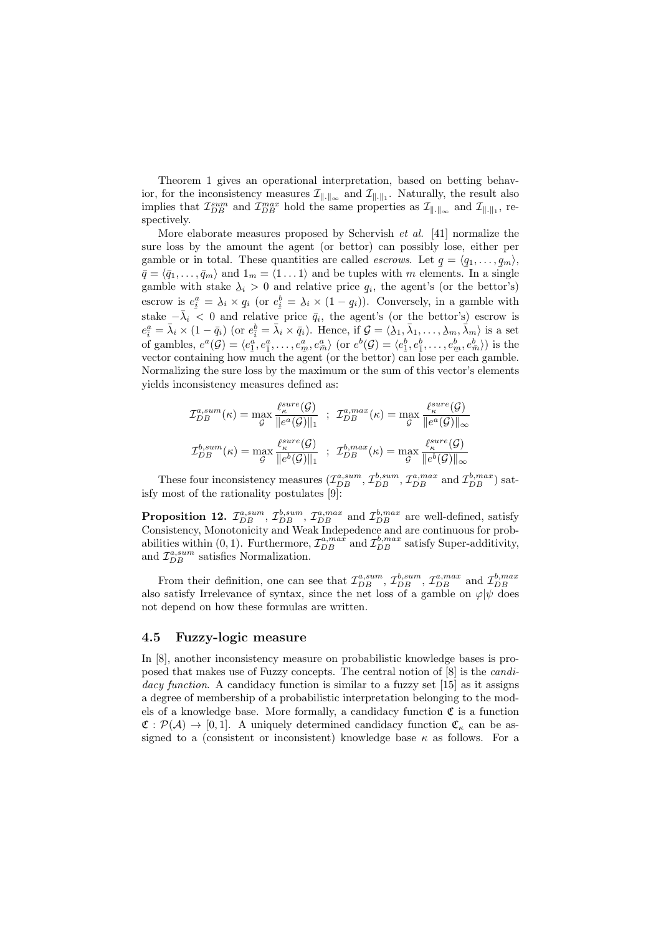Theorem 1 gives an operational interpretation, based on betting behavior, for the inconsistency measures  $\mathcal{I}_{\|\cdot\|_{\infty}}$  and  $\mathcal{I}_{\|\cdot\|_{1}}$ . Naturally, the result also implies that  $\mathcal{I}_{DB}^{sum}$  and  $\mathcal{I}_{DB}^{max}$  hold the same properties as  $\mathcal{I}_{\|\cdot\|_{\infty}}$  and  $\mathcal{I}_{\|\cdot\|_{1}}$ , respectively.

More elaborate measures proposed by Schervish et al. [41] normalize the sure loss by the amount the agent (or bettor) can possibly lose, either per gamble or in total. These quantities are called *escrows*. Let  $q = \langle q_1, \ldots, q_m \rangle$ ,  $\vec{q} = \langle \vec{q}_1, \ldots, \vec{q}_m \rangle$  and  $1_m = \langle 1 \ldots 1 \rangle$  and be tuples with m elements. In a single gamble with stake  $\lambda_i > 0$  and relative price  $q_i$ , the agent's (or the bettor's) escrow is  $e_i^a = \lambda_i \times q_i$  (or  $e_i^b = \lambda_i \times (1 - q_i)$ ). Conversely, in a gamble with stake  $-\bar{\lambda}_i < 0$  and relative price  $\bar{q}_i$ , the agent's (or the bettor's) escrow is  $e_i^a = \bar{\lambda}_i \times (1 - \bar{q}_i)$  (or  $e_i^b = \bar{\lambda}_i \times \bar{q}_i$ ). Hence, if  $\mathcal{G} = \langle \lambda_1, \bar{\lambda}_1, \ldots, \lambda_m, \bar{\lambda}_m \rangle$  is a set of gambles,  $e^a(\mathcal{G}) = \langle e_1^a, e_1^a, \dots, e_m^a, e_{\overline{n}}^a \rangle$  (or  $e^b(\mathcal{G}) = \langle e_1^b, e_1^b, \dots, e_m^b, e_{\overline{n}}^b \rangle$ ) is the vector containing how much the agent (or the bettor) can lose per each gamble. Normalizing the sure loss by the maximum or the sum of this vector's elements yields inconsistency measures defined as:

$$
\mathcal{I}_{DB}^{a,sum}(\kappa) = \max_{\mathcal{G}} \frac{\ell_{\kappa}^{sure}(\mathcal{G})}{\|e^{a}(\mathcal{G})\|_{1}} \quad ; \quad \mathcal{I}_{DB}^{a,max}(\kappa) = \max_{\mathcal{G}} \frac{\ell_{\kappa}^{sure}(\mathcal{G})}{\|e^{a}(\mathcal{G})\|_{\infty}}
$$
\n
$$
\mathcal{I}_{DB}^{b,sum}(\kappa) = \max_{\mathcal{G}} \frac{\ell_{\kappa}^{sure}(\mathcal{G})}{\|e^{b}(\mathcal{G})\|_{1}} \quad ; \quad \mathcal{I}_{DB}^{b,max}(\kappa) = \max_{\mathcal{G}} \frac{\ell_{\kappa}^{sure}(\mathcal{G})}{\|e^{b}(\mathcal{G})\|_{\infty}}
$$

These four inconsistency measures  $(\mathcal{I}_{DB}^{a,sum}, \mathcal{I}_{DB}^{b,sum}, \mathcal{I}_{DB}^{a,max}$  and  $\mathcal{I}_{DB}^{b,max}$ ) satisfy most of the rationality postulates [9]:

**Proposition 12.**  $\mathcal{I}_{DB}^{a, sum}$ ,  $\mathcal{I}_{DB}^{b, sum}$ ,  $\mathcal{I}_{DB}^{a, max}$  and  $\mathcal{I}_{DB}^{b, max}$  are well-defined, satisfy Consistency, Monotonicity and Weak Indepedence and are continuous for probabilities within (0, 1). Furthermore,  $\mathcal{I}_{DB}^{a, max}$  and  $\mathcal{I}_{DB}^{b, max}$  satisfy Super-additivity, and  $\mathcal{I}_{DB}^{a,sum}$  satisfies Normalization.

From their definition, one can see that  $\mathcal{I}_{DB}^{a,sum}$ ,  $\mathcal{I}_{DB}^{b,sum}$ ,  $\mathcal{I}_{DB}^{a,max}$  and  $\mathcal{I}_{DB}^{b,max}$ <br>also satisfy Irrelevance of syntax, since the net loss of a gamble on  $\varphi|\psi$  does not depend on how these formulas are written.

#### 4.5 Fuzzy-logic measure

In [8], another inconsistency measure on probabilistic knowledge bases is proposed that makes use of Fuzzy concepts. The central notion of [8] is the candidacy function. A candidacy function is similar to a fuzzy set [15] as it assigns a degree of membership of a probabilistic interpretation belonging to the models of a knowledge base. More formally, a candidacy function  $\mathfrak C$  is a function  $\mathfrak{C}: \mathcal{P}(\mathcal{A}) \to [0, 1]$ . A uniquely determined candidacy function  $\mathfrak{C}_{\kappa}$  can be assigned to a (consistent or inconsistent) knowledge base  $\kappa$  as follows. For a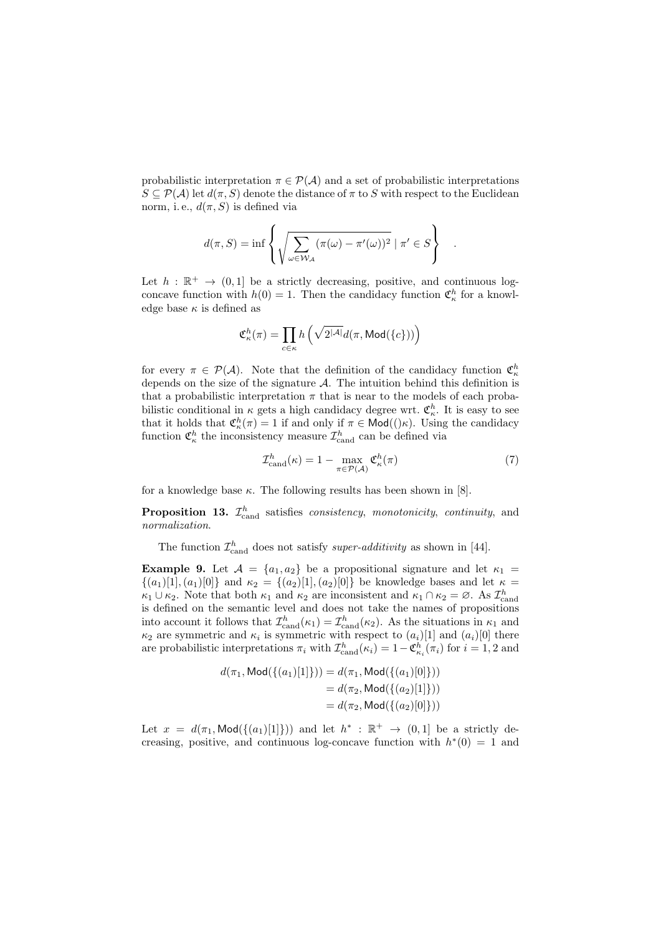probabilistic interpretation  $\pi \in \mathcal{P}(\mathcal{A})$  and a set of probabilistic interpretations  $S \subseteq \mathcal{P}(\mathcal{A})$  let  $d(\pi, S)$  denote the distance of  $\pi$  to S with respect to the Euclidean norm, i.e.,  $d(\pi, S)$  is defined via

$$
d(\pi, S) = \inf \left\{ \sqrt{\sum_{\omega \in \mathcal{W}_{\mathcal{A}}} (\pi(\omega) - \pi'(\omega))^2} \mid \pi' \in S \right\}
$$

Let  $h : \mathbb{R}^+ \to (0,1]$  be a strictly decreasing, positive, and continuous logconcave function with  $h(0) = 1$ . Then the candidacy function  $\mathfrak{C}_{\kappa}^{h}$  for a knowledge base  $\kappa$  is defined as

$$
\mathfrak{C}^h_{\kappa}(\pi) = \prod_{c \in \kappa} h\left(\sqrt{2^{|\mathcal{A}|}}d(\pi,\text{Mod}(\{c\}))\right)
$$

for every  $\pi \in \mathcal{P}(\mathcal{A})$ . Note that the definition of the candidacy function  $\mathfrak{C}_{\kappa}^h$ depends on the size of the signature  $A$ . The intuition behind this definition is that a probabilistic interpretation  $\pi$  that is near to the models of each probabilistic conditional in  $\kappa$  gets a high candidacy degree wrt.  $\mathfrak{C}_{\kappa}^h$ . It is easy to see that it holds that  $\mathfrak{C}_{\kappa}^h(\pi) = 1$  if and only if  $\pi \in \mathsf{Mod}((\kappa))$ . Using the candidacy function  $\mathfrak{C}_\kappa^h$  the inconsistency measure  $\mathcal{I}_\text{cand}^h$  can be defined via

$$
\mathcal{I}_{\text{cand}}^h(\kappa) = 1 - \max_{\pi \in \mathcal{P}(\mathcal{A})} \mathfrak{C}_{\kappa}^h(\pi) \tag{7}
$$

.

for a knowledge base  $\kappa$ . The following results has been shown in [8].

**Proposition 13.**  $\mathcal{I}_{\text{cand}}^h$  satisfies *consistency*, *monotonicity*, *continuity*, and normalization.

The function  $\mathcal{I}_{\text{cand}}^h$  does not satisfy *super-additivity* as shown in [44].

**Example 9.** Let  $A = \{a_1, a_2\}$  be a propositional signature and let  $\kappa_1 =$  $\{(a_1)[1], (a_1)[0]\}$  and  $\kappa_2 = \{(a_2)[1], (a_2)[0]\}$  be knowledge bases and let  $\kappa =$  $\kappa_1 \cup \kappa_2$ . Note that both  $\kappa_1$  and  $\kappa_2$  are inconsistent and  $\kappa_1 \cap \kappa_2 = \emptyset$ . As  $\mathcal{I}_{\text{cand}}^h$ is defined on the semantic level and does not take the names of propositions into account it follows that  $\mathcal{I}_{\text{cand}}^h(\kappa_1) = \mathcal{I}_{\text{cand}}^h(\kappa_2)$ . As the situations in  $\kappa_1$  and  $\kappa_2$  are symmetric and  $\kappa_i$  is symmetric with respect to  $(a_i)$ [1] and  $(a_i)$ [0] there are probabilistic interpretations  $\pi_i$  with  $\mathcal{I}^h_{\text{cand}}(\kappa_i) = 1 - \mathfrak{C}^h_{\kappa_i}(\pi_i)$  for  $i = 1, 2$  and

$$
d(\pi_1, \text{Mod}(\{(a_1)[1]\})) = d(\pi_1, \text{Mod}(\{(a_1)[0]\}))
$$
  
=  $d(\pi_2, \text{Mod}(\{(a_2)[1]\}))$   
=  $d(\pi_2, \text{Mod}(\{(a_2)[0]\}))$ 

Let  $x = d(\pi_1, \text{Mod}(\{(a_1)[1]\}))$  and let  $h^* : \mathbb{R}^+ \to (0, 1]$  be a strictly decreasing, positive, and continuous log-concave function with  $h^*(0) = 1$  and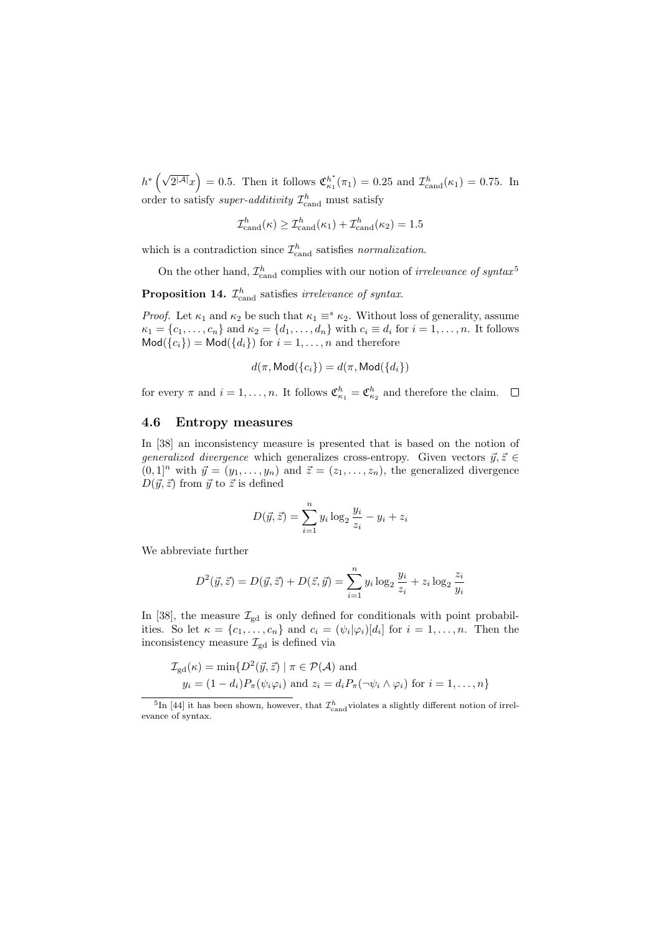$h^*\left(\sqrt{2^{|\mathcal{A}|}}x\right) = 0.5$ . Then it follows  $\mathfrak{C}_{\kappa_1}^{h^*}(\pi_1) = 0.25$  and  $\mathcal{I}_{\text{cand}}^h(\kappa_1) = 0.75$ . In order to satisfy *super-additivity*  $\mathcal{I}^h_{\text{cand}}$  must satisfy

$$
\mathcal{I}^h_{\text{cand}}(\kappa) \ge \mathcal{I}^h_{\text{cand}}(\kappa_1) + \mathcal{I}^h_{\text{cand}}(\kappa_2) = 1.5
$$

which is a contradiction since  $\mathcal{I}^h_{\text{cand}}$  satisfies normalization.

On the other hand,  $\mathcal{I}_{\text{cand}}^h$  complies with our notion of *irrelevance of syntax*<sup>5</sup>

**Proposition 14.**  $\mathcal{I}_{\text{cand}}^h$  satisfies *irrelevance of syntax*.

*Proof.* Let  $\kappa_1$  and  $\kappa_2$  be such that  $\kappa_1 \equiv^s \kappa_2$ . Without loss of generality, assume  $\kappa_1 = \{c_1, \ldots, c_n\}$  and  $\kappa_2 = \{d_1, \ldots, d_n\}$  with  $c_i \equiv d_i$  for  $i = 1, \ldots, n$ . It follows  $\text{Mod}(\{c_i\}) = \text{Mod}(\{d_i\})$  for  $i = 1, ..., n$  and therefore

$$
d(\pi, \mathsf{Mod}(\{c_i\}) = d(\pi, \mathsf{Mod}(\{d_i\})
$$

for every  $\pi$  and  $i = 1, ..., n$ . It follows  $\mathfrak{C}_{\kappa_1}^h = \mathfrak{C}_{\kappa_2}^h$  and therefore the claim.

#### 4.6 Entropy measures

In [38] an inconsistency measure is presented that is based on the notion of generalized divergence which generalizes cross-entropy. Given vectors  $\vec{y}, \vec{z} \in$  $(0, 1]^n$  with  $\vec{y} = (y_1, \ldots, y_n)$  and  $\vec{z} = (z_1, \ldots, z_n)$ , the generalized divergence  $D(\vec{y}, \vec{z})$  from  $\vec{y}$  to  $\vec{z}$  is defined

$$
D(\vec{y}, \vec{z}) = \sum_{i=1}^{n} y_i \log_2 \frac{y_i}{z_i} - y_i + z_i
$$

We abbreviate further

$$
D^{2}(\vec{y}, \vec{z}) = D(\vec{y}, \vec{z}) + D(\vec{z}, \vec{y}) = \sum_{i=1}^{n} y_{i} \log_{2} \frac{y_{i}}{z_{i}} + z_{i} \log_{2} \frac{z_{i}}{y_{i}}
$$

In [38], the measure  $\mathcal{I}_{\text{gd}}$  is only defined for conditionals with point probabilities. So let  $\kappa = \{c_1, \ldots, c_n\}$  and  $c_i = (\psi_i | \varphi_i)[d_i]$  for  $i = 1, \ldots, n$ . Then the inconsistency measure  $\mathcal{I}_{gd}$  is defined via

$$
\mathcal{I}_{\text{gd}}(\kappa) = \min \{ D^2(\vec{y}, \vec{z}) \mid \pi \in \mathcal{P}(\mathcal{A}) \text{ and}
$$
  

$$
y_i = (1 - d_i) P_{\pi}(\psi_i \varphi_i) \text{ and } z_i = d_i P_{\pi}(\neg \psi_i \wedge \varphi_i) \text{ for } i = 1, ..., n \}
$$

<sup>&</sup>lt;sup>5</sup>In [44] it has been shown, however, that  $\mathcal{I}^h_\text{cand}$  violates a slightly different notion of irrelevance of syntax.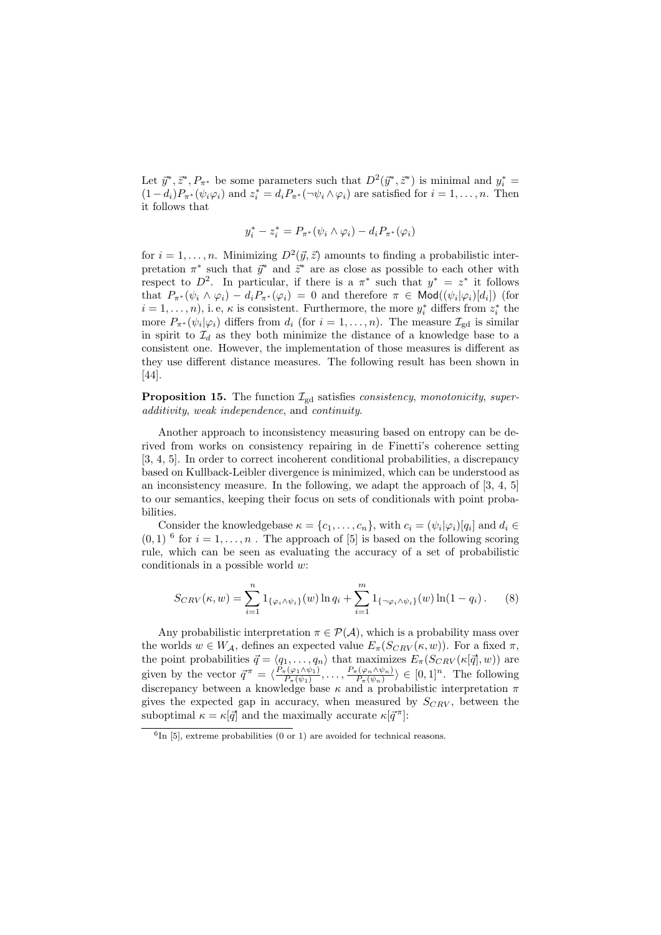Let  $\vec{y}^*, \vec{z}^*, P_{\pi^*}$  be some parameters such that  $D^2(\vec{y}^*, \vec{z}^*)$  is minimal and  $y_i^* =$  $(1-d_i)P_{\pi^*}(\psi_i\varphi_i)$  and  $z_i^* = d_iP_{\pi^*}(\neg\psi_i \wedge \varphi_i)$  are satisfied for  $i = 1, \ldots, n$ . Then it follows that

$$
y_i^* - z_i^* = P_{\pi^*}(\psi_i \wedge \varphi_i) - d_i P_{\pi^*}(\varphi_i)
$$

for  $i = 1, \ldots, n$ . Minimizing  $D^2(\vec{y}, \vec{z})$  amounts to finding a probabilistic interpretation  $\pi^*$  such that  $\vec{y}^*$  and  $\vec{z}^*$  are as close as possible to each other with respect to  $D^2$ . In particular, if there is a  $\pi^*$  such that  $y^* = z^*$  it follows that  $P_{\pi^*}(\psi_i \wedge \varphi_i) - d_i P_{\pi^*}(\varphi_i) = 0$  and therefore  $\pi \in \mathsf{Mod}((\psi_i | \varphi_i) [d_i])$  (for  $i = 1, \ldots, n$ , i.e,  $\kappa$  is consistent. Furthermore, the more  $y_i^*$  differs from  $z_i^*$  the more  $P_{\pi^*}(\psi_i|\varphi_i)$  differs from  $d_i$  (for  $i=1,\ldots,n$ ). The measure  $\mathcal{I}_{gd}$  is similar in spirit to  $\mathcal{I}_d$  as they both minimize the distance of a knowledge base to a consistent one. However, the implementation of those measures is different as they use different distance measures. The following result has been shown in [44].

**Proposition 15.** The function  $\mathcal{I}_{\text{gd}}$  satisfies *consistency, monotonicity, super*additivity, weak independence, and continuity.

Another approach to inconsistency measuring based on entropy can be derived from works on consistency repairing in de Finetti's coherence setting [3, 4, 5]. In order to correct incoherent conditional probabilities, a discrepancy based on Kullback-Leibler divergence is minimized, which can be understood as an inconsistency measure. In the following, we adapt the approach of [3, 4, 5] to our semantics, keeping their focus on sets of conditionals with point probabilities.

Consider the knowledgebase  $\kappa = \{c_1, \ldots, c_n\}$ , with  $c_i = (\psi_i | \varphi_i) [q_i]$  and  $d_i \in$  $(0, 1)$ <sup>6</sup> for  $i = 1, ..., n$ . The approach of [5] is based on the following scoring rule, which can be seen as evaluating the accuracy of a set of probabilistic conditionals in a possible world w:

$$
S_{CRV}(\kappa, w) = \sum_{i=1}^{n} 1_{\{\varphi_i \wedge \psi_i\}}(w) \ln q_i + \sum_{i=1}^{m} 1_{\{\neg \varphi_i \wedge \psi_i\}}(w) \ln(1 - q_i). \tag{8}
$$

Any probabilistic interpretation  $\pi \in \mathcal{P}(\mathcal{A})$ , which is a probability mass over the worlds  $w \in W_{\mathcal{A}}$ , defines an expected value  $E_{\pi}(S_{CRV}(\kappa, w))$ . For a fixed  $\pi$ , the point probabilities  $\vec{q} = \langle q_1, \ldots, q_n \rangle$  that maximizes  $E_\pi(S_{CRV}(\kappa[\vec{q}], w))$  are given by the vector  $\vec{q}^{\pi} = \langle \frac{P_{\pi}(\varphi_1 \wedge \psi_1)}{P_{\pi}(y_1)} \rangle$  $\frac{P_{\pi}(\varphi_1 \wedge \psi_1)}{P_{\pi}(\psi_1)}, \ldots, \frac{P_{\pi}(\varphi_n \wedge \psi_n)}{P_{\pi}(\psi_n)}$  $\langle \frac{\varphi_n \wedge \psi_n}{P_{\pi}(\psi_n)} \rangle \in [0,1]^n$ . The following discrepancy between a knowledge base  $\kappa$  and a probabilistic interpretation  $\pi$ gives the expected gap in accuracy, when measured by  $S_{CRV}$ , between the suboptimal  $\kappa = \kappa |\vec{q}|$  and the maximally accurate  $\kappa |\vec{q}^{\pi}|$ :

 ${}^{6}$ In [5], extreme probabilities (0 or 1) are avoided for technical reasons.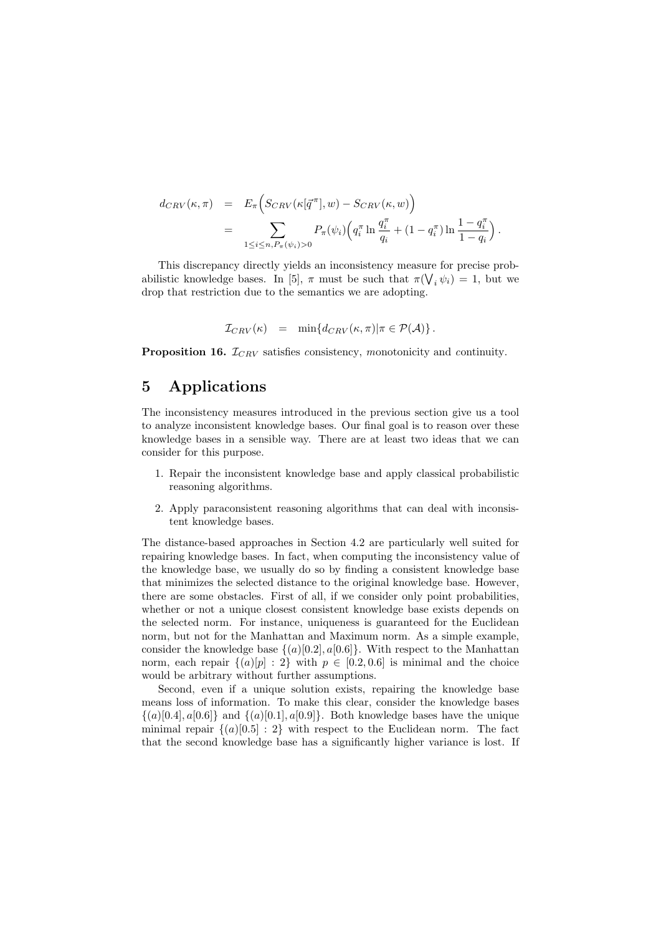$$
d_{CRV}(\kappa, \pi) = E_{\pi} \Big( S_{CRV}(\kappa[\vec{q}^{\pi}], w) - S_{CRV}(\kappa, w) \Big)
$$
  
= 
$$
\sum_{1 \leq i \leq n, P_{\pi}(\psi_i) > 0} P_{\pi}(\psi_i) \Big( q_i^{\pi} \ln \frac{q_i^{\pi}}{q_i} + (1 - q_i^{\pi}) \ln \frac{1 - q_i^{\pi}}{1 - q_i} \Big)
$$

.

This discrepancy directly yields an inconsistency measure for precise probabilistic knowledge bases. In [5],  $\pi$  must be such that  $\pi(\bigvee_i \psi_i) = 1$ , but we drop that restriction due to the semantics we are adopting.

$$
\mathcal{I}_{CRV}(\kappa) = \min \{ d_{CRV}(\kappa, \pi) | \pi \in \mathcal{P}(\mathcal{A}) \}.
$$

**Proposition 16.**  $\mathcal{I}_{CRV}$  satisfies consistency, monotonicity and continuity.

# 5 Applications

The inconsistency measures introduced in the previous section give us a tool to analyze inconsistent knowledge bases. Our final goal is to reason over these knowledge bases in a sensible way. There are at least two ideas that we can consider for this purpose.

- 1. Repair the inconsistent knowledge base and apply classical probabilistic reasoning algorithms.
- 2. Apply paraconsistent reasoning algorithms that can deal with inconsistent knowledge bases.

The distance-based approaches in Section 4.2 are particularly well suited for repairing knowledge bases. In fact, when computing the inconsistency value of the knowledge base, we usually do so by finding a consistent knowledge base that minimizes the selected distance to the original knowledge base. However, there are some obstacles. First of all, if we consider only point probabilities, whether or not a unique closest consistent knowledge base exists depends on the selected norm. For instance, uniqueness is guaranteed for the Euclidean norm, but not for the Manhattan and Maximum norm. As a simple example, consider the knowledge base  $\{(a)[0.2], a[0.6]\}$ . With respect to the Manhattan norm, each repair  $\{(a)[p] : 2\}$  with  $p \in [0.2, 0.6]$  is minimal and the choice would be arbitrary without further assumptions.

Second, even if a unique solution exists, repairing the knowledge base means loss of information. To make this clear, consider the knowledge bases  $\{(a)[0.4], a[0.6]\}$  and  $\{(a)[0.1], a[0.9]\}$ . Both knowledge bases have the unique minimal repair  $\{(a) [0.5] : 2\}$  with respect to the Euclidean norm. The fact that the second knowledge base has a significantly higher variance is lost. If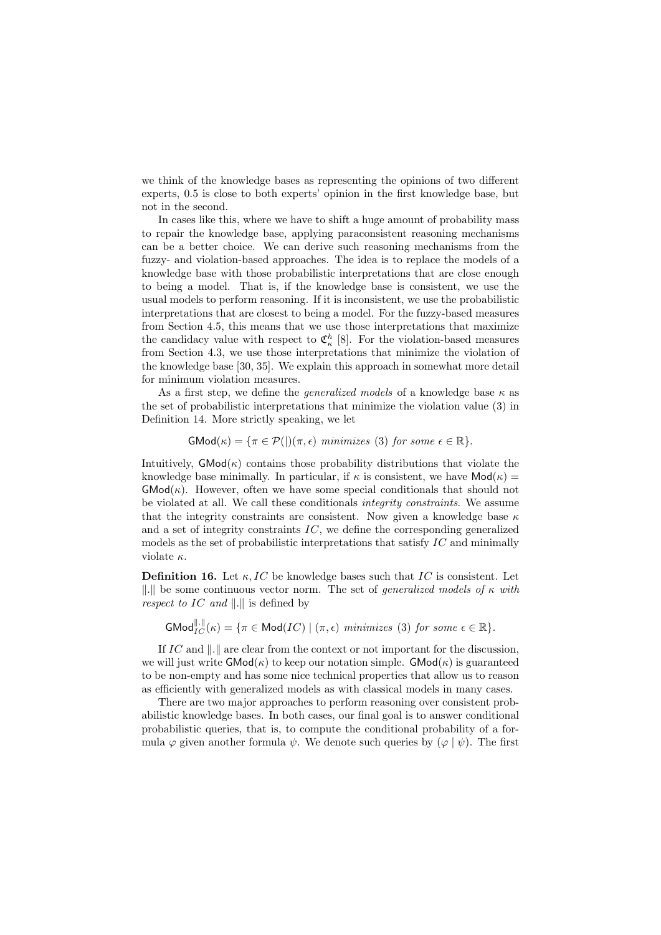we think of the knowledge bases as representing the opinions of two different experts, 0.5 is close to both experts' opinion in the first knowledge base, but not in the second.

In cases like this, where we have to shift a huge amount of probability mass to repair the knowledge base, applying paraconsistent reasoning mechanisms can be a better choice. We can derive such reasoning mechanisms from the fuzzy- and violation-based approaches. The idea is to replace the models of a knowledge base with those probabilistic interpretations that are close enough to being a model. That is, if the knowledge base is consistent, we use the usual models to perform reasoning. If it is inconsistent, we use the probabilistic interpretations that are closest to being a model. For the fuzzy-based measures from Section 4.5, this means that we use those interpretations that maximize the candidacy value with respect to  $\mathfrak{C}_{\kappa}^{h}$  [8]. For the violation-based measures from Section 4.3, we use those interpretations that minimize the violation of the knowledge base [30, 35]. We explain this approach in somewhat more detail for minimum violation measures.

As a first step, we define the *generalized models* of a knowledge base  $\kappa$  as the set of probabilistic interpretations that minimize the violation value (3) in Definition 14. More strictly speaking, we let

 $\mathsf{GMod}(\kappa) = \{ \pi \in \mathcal{P}(|\pi, \epsilon) \text{ minimizes (3) for some } \epsilon \in \mathbb{R} \}.$ 

Intuitively,  $\mathsf{GMod}(\kappa)$  contains those probability distributions that violate the knowledge base minimally. In particular, if  $\kappa$  is consistent, we have  $\text{Mod}(\kappa) =$  $\mathsf{GMod}(\kappa)$ . However, often we have some special conditionals that should not be violated at all. We call these conditionals integrity constraints. We assume that the integrity constraints are consistent. Now given a knowledge base  $\kappa$ and a set of integrity constraints IC, we define the corresponding generalized models as the set of probabilistic interpretations that satisfy IC and minimally violate  $\kappa$ .

**Definition 16.** Let  $\kappa$ , IC be knowledge bases such that IC is consistent. Let ||.|| be some continuous vector norm. The set of *generalized models of*  $\kappa$  with respect to IC and  $\Vert . \Vert$  is defined by

 $\mathsf{GMod}_{IC}^{\Vert \cdot \Vert}(\kappa) = \{ \pi \in \mathsf{Mod}(IC) \mid (\pi, \epsilon) \text{ minimizes (3) for some } \epsilon \in \mathbb{R} \}.$ 

If IC and  $\|.\|$  are clear from the context or not important for the discussion, we will just write  $\mathsf{GMod}(\kappa)$  to keep our notation simple.  $\mathsf{GMod}(\kappa)$  is guaranteed to be non-empty and has some nice technical properties that allow us to reason as efficiently with generalized models as with classical models in many cases.

There are two major approaches to perform reasoning over consistent probabilistic knowledge bases. In both cases, our final goal is to answer conditional probabilistic queries, that is, to compute the conditional probability of a formula  $\varphi$  given another formula  $\psi$ . We denote such queries by  $(\varphi | \psi)$ . The first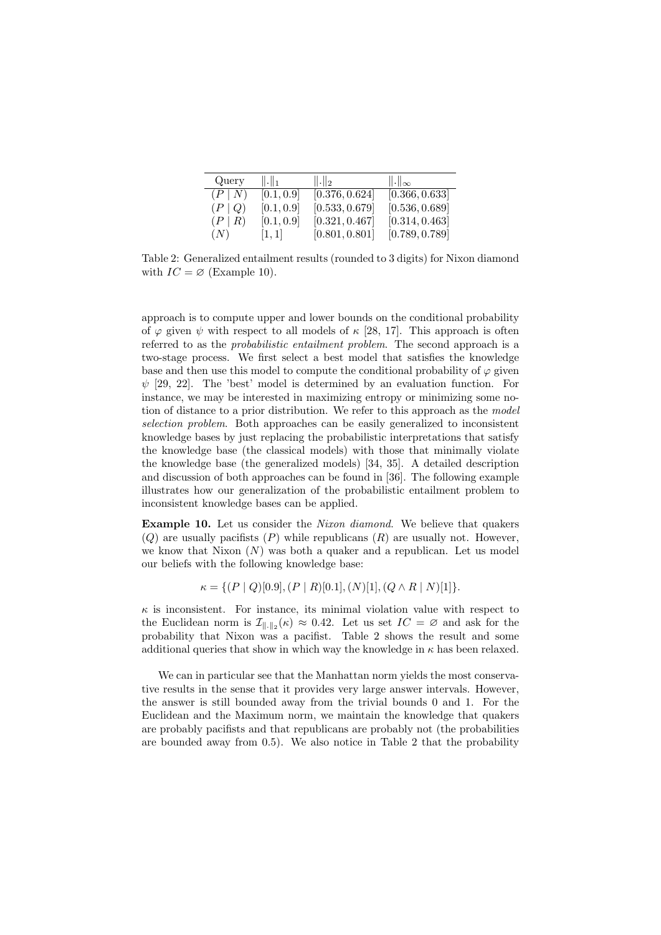| Query        | $\ .\ _1$          | $\ .\ _2$      | $\ .\ _{\infty}$ |
|--------------|--------------------|----------------|------------------|
| (P N)        | [0.1, 0.9]         | [0.376, 0.624] | [0.366, 0.633]   |
| $(P \mid Q)$ | [0.1, 0.9]         | [0.533, 0.679] | [0.536, 0.689]   |
| $(P \mid R)$ | [0.1, 0.9]         | [0.321, 0.467] | [0.314, 0.463]   |
| (N)          | $\left[1,1\right]$ | [0.801, 0.801] | [0.789, 0.789]   |

Table 2: Generalized entailment results (rounded to 3 digits) for Nixon diamond with  $IC = \varnothing$  (Example 10).

approach is to compute upper and lower bounds on the conditional probability of  $\varphi$  given  $\psi$  with respect to all models of  $\kappa$  [28, 17]. This approach is often referred to as the probabilistic entailment problem. The second approach is a two-stage process. We first select a best model that satisfies the knowledge base and then use this model to compute the conditional probability of  $\varphi$  given  $\psi$  [29, 22]. The 'best' model is determined by an evaluation function. For instance, we may be interested in maximizing entropy or minimizing some notion of distance to a prior distribution. We refer to this approach as the model selection problem. Both approaches can be easily generalized to inconsistent knowledge bases by just replacing the probabilistic interpretations that satisfy the knowledge base (the classical models) with those that minimally violate the knowledge base (the generalized models) [34, 35]. A detailed description and discussion of both approaches can be found in [36]. The following example illustrates how our generalization of the probabilistic entailment problem to inconsistent knowledge bases can be applied.

Example 10. Let us consider the Nixon diamond. We believe that quakers  $(Q)$  are usually pacifists  $(P)$  while republicans  $(R)$  are usually not. However, we know that Nixon  $(N)$  was both a quaker and a republican. Let us model our beliefs with the following knowledge base:

 $\kappa = \{ (P \mid Q) [0.9], (P \mid R) [0.1], (N) [1], (Q \wedge R \mid N) [1] \}.$ 

 $\kappa$  is inconsistent. For instance, its minimal violation value with respect to the Euclidean norm is  $\mathcal{I}_{\|\cdot\|_2}(\kappa) \approx 0.42$ . Let us set  $IC = \varnothing$  and ask for the probability that Nixon was a pacifist. Table 2 shows the result and some additional queries that show in which way the knowledge in  $\kappa$  has been relaxed.

We can in particular see that the Manhattan norm yields the most conservative results in the sense that it provides very large answer intervals. However, the answer is still bounded away from the trivial bounds 0 and 1. For the Euclidean and the Maximum norm, we maintain the knowledge that quakers are probably pacifists and that republicans are probably not (the probabilities are bounded away from 0.5). We also notice in Table 2 that the probability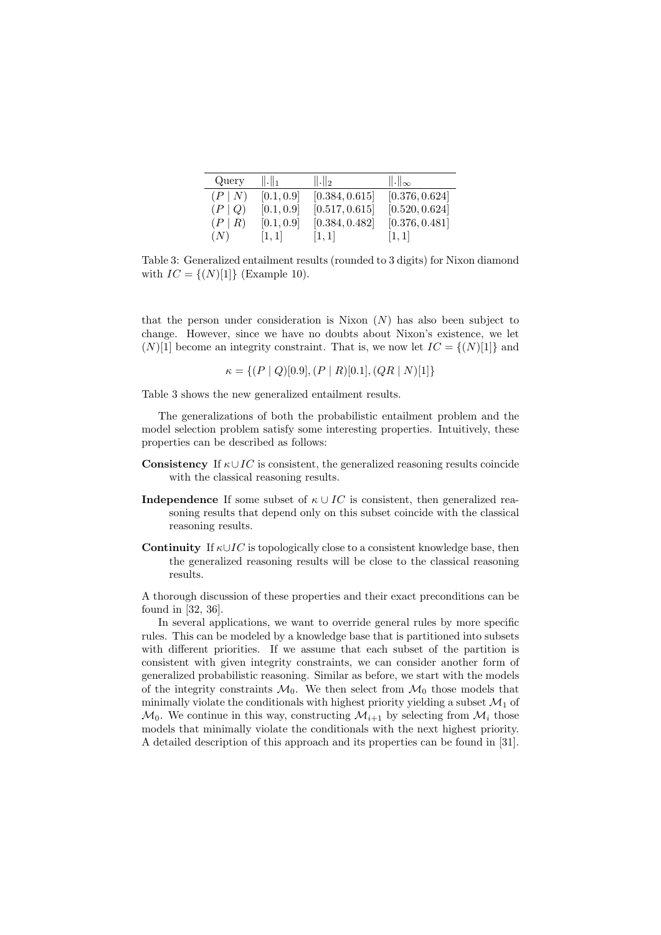| Query        | $\ .\ _1$  | $\ .\ _2$             | $\ .\ _{\infty}$ |
|--------------|------------|-----------------------|------------------|
| (P N)        | [0.1, 0.9] | [0.384, 0.615]        | [0.376, 0.624]   |
| $(P \mid Q)$ | [0.1, 0.9] | [0.517, 0.615]        | [0.520, 0.624]   |
| $(P \mid R)$ | [0.1, 0.9] | [0.384, 0.482]        | [0.376, 0.481]   |
| (N)          | [1, 1]     | $\lfloor 1,1 \rfloor$ | [1,1]            |

Table 3: Generalized entailment results (rounded to 3 digits) for Nixon diamond with  $IC = \{(N)[1]\}$  (Example 10).

that the person under consideration is Nixon  $(N)$  has also been subject to change. However, since we have no doubts about Nixon's existence, we let  $(N)[1]$  become an integrity constraint. That is, we now let  $IC = \{(N)[1]\}$  and

$$
\kappa = \{ (P \mid Q) [0.9], (P \mid R) [0.1], (QR \mid N) [1] \}
$$

Table 3 shows the new generalized entailment results.

The generalizations of both the probabilistic entailment problem and the model selection problem satisfy some interesting properties. Intuitively, these properties can be described as follows:

- **Consistency** If  $\kappa \cup IC$  is consistent, the generalized reasoning results coincide with the classical reasoning results.
- **Independence** If some subset of  $\kappa \cup IC$  is consistent, then generalized reasoning results that depend only on this subset coincide with the classical reasoning results.
- **Continuity** If  $\kappa \cup IC$  is topologically close to a consistent knowledge base, then the generalized reasoning results will be close to the classical reasoning results.

A thorough discussion of these properties and their exact preconditions can be found in [32, 36].

In several applications, we want to override general rules by more specific rules. This can be modeled by a knowledge base that is partitioned into subsets with different priorities. If we assume that each subset of the partition is consistent with given integrity constraints, we can consider another form of generalized probabilistic reasoning. Similar as before, we start with the models of the integrity constraints  $\mathcal{M}_0$ . We then select from  $\mathcal{M}_0$  those models that minimally violate the conditionals with highest priority yielding a subset  $\mathcal{M}_1$  of  $\mathcal{M}_0$ . We continue in this way, constructing  $\mathcal{M}_{i+1}$  by selecting from  $\mathcal{M}_i$  those models that minimally violate the conditionals with the next highest priority. A detailed description of this approach and its properties can be found in [31].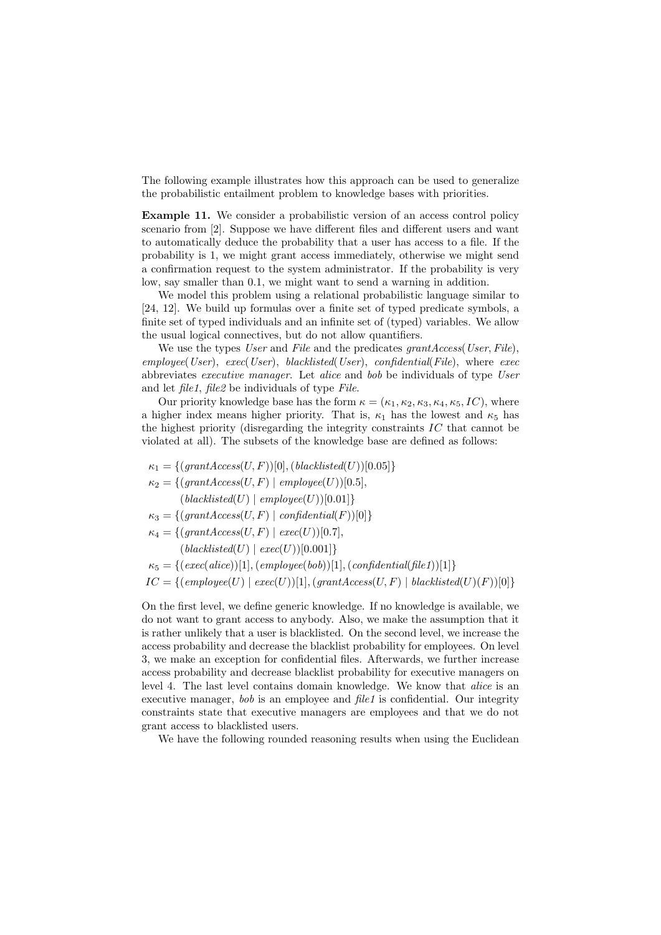The following example illustrates how this approach can be used to generalize the probabilistic entailment problem to knowledge bases with priorities.

Example 11. We consider a probabilistic version of an access control policy scenario from [2]. Suppose we have different files and different users and want to automatically deduce the probability that a user has access to a file. If the probability is 1, we might grant access immediately, otherwise we might send a confirmation request to the system administrator. If the probability is very low, say smaller than 0.1, we might want to send a warning in addition.

We model this problem using a relational probabilistic language similar to [24, 12]. We build up formulas over a finite set of typed predicate symbols, a finite set of typed individuals and an infinite set of (typed) variables. We allow the usual logical connectives, but do not allow quantifiers.

We use the types User and File and the predicates grantAccess (User, File).  $employee(User)$ ,  $exec(User)$ ,  $blacklisted(User)$ ,  $confidential(File)$ , where  $exec$ abbreviates executive manager. Let alice and bob be individuals of type User and let file1, file2 be individuals of type File.

Our priority knowledge base has the form  $\kappa = (\kappa_1, \kappa_2, \kappa_3, \kappa_4, \kappa_5, IC)$ , where a higher index means higher priority. That is,  $\kappa_1$  has the lowest and  $\kappa_5$  has the highest priority (disregarding the integrity constraints IC that cannot be violated at all). The subsets of the knowledge base are defined as follows:

 $\kappa_1 = \{(\text{grantAccess}(U, F))[0], (\text{blacklisted}(U))[0.05]\}$  $\kappa_2 = \{(\text{grantAccess}(U, F) \mid \text{employee}(U))[0.5],\}$  $(blacklisted(U) | employee(U))[0.01]$  $\kappa_3 = \{(\text{grantAccess}(U, F) \mid \text{confidential}(F))[0]\}$  $\kappa_4 = \{(\text{grantAccess}(U, F) \mid \text{exec}(U)) | 0.7\},\$  $(blacklisted(U) | exec(U)$ [0.001]}  $\kappa_5 = \{(\text{exec}(alice))[1], (\text{employee}(bob))[1], (\text{confidential}(\text{file1}))[1]\}$ 

 $IC = \{ (employee(U) | exec(U))[1], (grant Access(U, F) | blacklisted(U)(F))[0] \}$ 

On the first level, we define generic knowledge. If no knowledge is available, we do not want to grant access to anybody. Also, we make the assumption that it is rather unlikely that a user is blacklisted. On the second level, we increase the access probability and decrease the blacklist probability for employees. On level 3, we make an exception for confidential files. Afterwards, we further increase access probability and decrease blacklist probability for executive managers on level 4. The last level contains domain knowledge. We know that alice is an executive manager, bob is an employee and file1 is confidential. Our integrity constraints state that executive managers are employees and that we do not grant access to blacklisted users.

We have the following rounded reasoning results when using the Euclidean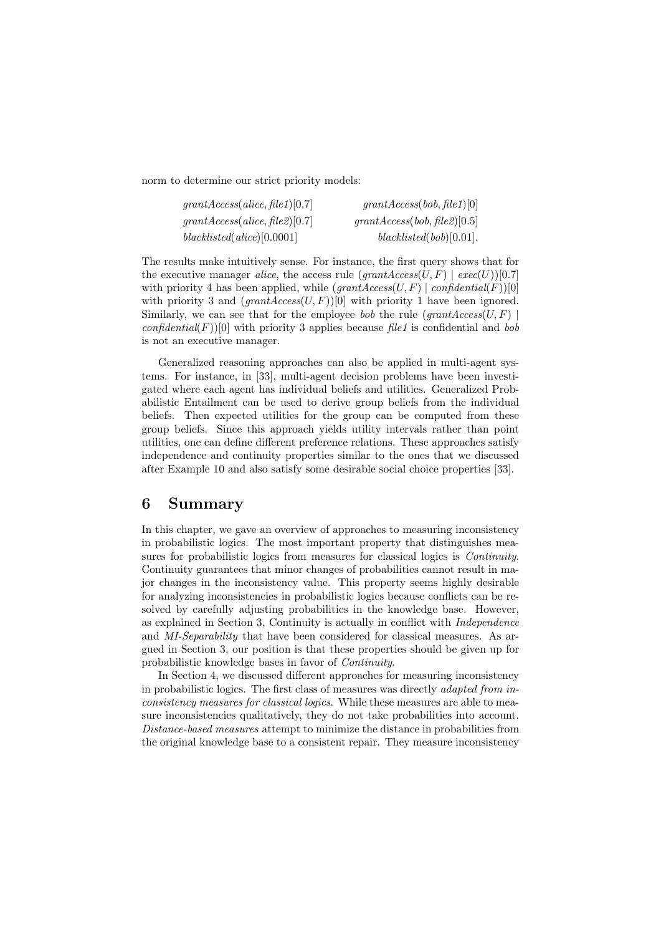norm to determine our strict priority models:

| grant Access(alice, file1)[0.7] | grantAccess(bob, file1)[0]   |
|---------------------------------|------------------------------|
| grant Access(alice, file2)[0.7] | grantAccess(bob, file2)[0.5] |
| black listed (alice) [0.0001]   | black listed (bob) [0.01].   |

The results make intuitively sense. For instance, the first query shows that for the executive manager alice, the access rule  $(grantAccess(U, F) \mid exec(U))$ [0.7] with priority 4 has been applied, while  $(grantAccess(U, F) | confidential(F))[0]$ with priority 3 and  $(grantAccess(U, F))[0]$  with priority 1 have been ignored. Similarly, we can see that for the employee bob the rule  $(grantAccess(U, F))$ confidential(F))[0] with priority 3 applies because file1 is confidential and bob is not an executive manager.

Generalized reasoning approaches can also be applied in multi-agent systems. For instance, in [33], multi-agent decision problems have been investigated where each agent has individual beliefs and utilities. Generalized Probabilistic Entailment can be used to derive group beliefs from the individual beliefs. Then expected utilities for the group can be computed from these group beliefs. Since this approach yields utility intervals rather than point utilities, one can define different preference relations. These approaches satisfy independence and continuity properties similar to the ones that we discussed after Example 10 and also satisfy some desirable social choice properties [33].

# 6 Summary

In this chapter, we gave an overview of approaches to measuring inconsistency in probabilistic logics. The most important property that distinguishes measures for probabilistic logics from measures for classical logics is Continuity. Continuity guarantees that minor changes of probabilities cannot result in major changes in the inconsistency value. This property seems highly desirable for analyzing inconsistencies in probabilistic logics because conflicts can be resolved by carefully adjusting probabilities in the knowledge base. However, as explained in Section 3, Continuity is actually in conflict with Independence and MI-Separability that have been considered for classical measures. As argued in Section 3, our position is that these properties should be given up for probabilistic knowledge bases in favor of Continuity.

In Section 4, we discussed different approaches for measuring inconsistency in probabilistic logics. The first class of measures was directly adapted from inconsistency measures for classical logics. While these measures are able to measure inconsistencies qualitatively, they do not take probabilities into account. Distance-based measures attempt to minimize the distance in probabilities from the original knowledge base to a consistent repair. They measure inconsistency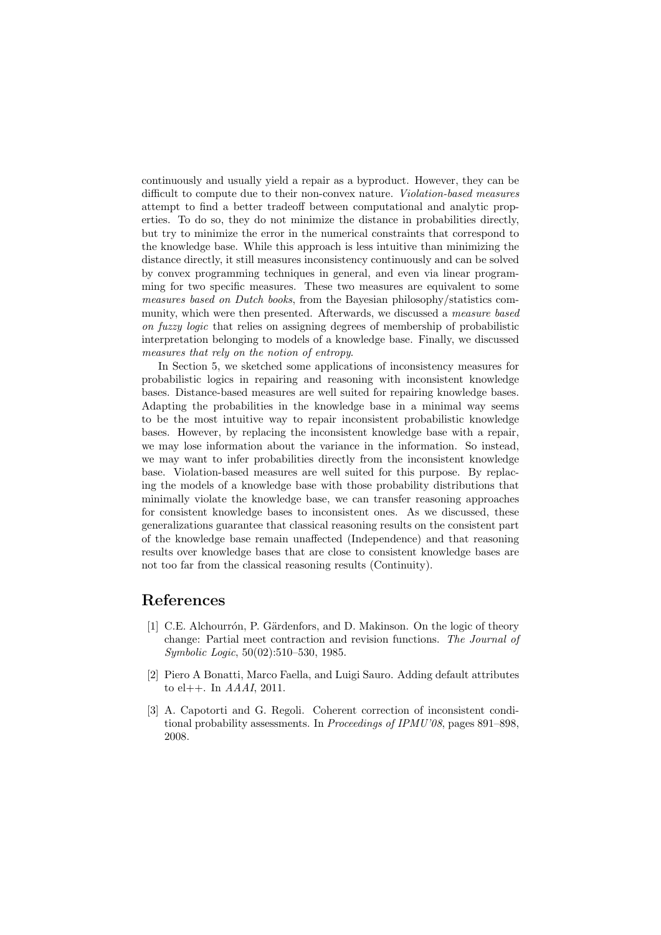continuously and usually yield a repair as a byproduct. However, they can be difficult to compute due to their non-convex nature. Violation-based measures attempt to find a better tradeoff between computational and analytic properties. To do so, they do not minimize the distance in probabilities directly, but try to minimize the error in the numerical constraints that correspond to the knowledge base. While this approach is less intuitive than minimizing the distance directly, it still measures inconsistency continuously and can be solved by convex programming techniques in general, and even via linear programming for two specific measures. These two measures are equivalent to some measures based on Dutch books, from the Bayesian philosophy/statistics community, which were then presented. Afterwards, we discussed a measure based on fuzzy logic that relies on assigning degrees of membership of probabilistic interpretation belonging to models of a knowledge base. Finally, we discussed measures that rely on the notion of entropy.

In Section 5, we sketched some applications of inconsistency measures for probabilistic logics in repairing and reasoning with inconsistent knowledge bases. Distance-based measures are well suited for repairing knowledge bases. Adapting the probabilities in the knowledge base in a minimal way seems to be the most intuitive way to repair inconsistent probabilistic knowledge bases. However, by replacing the inconsistent knowledge base with a repair, we may lose information about the variance in the information. So instead, we may want to infer probabilities directly from the inconsistent knowledge base. Violation-based measures are well suited for this purpose. By replacing the models of a knowledge base with those probability distributions that minimally violate the knowledge base, we can transfer reasoning approaches for consistent knowledge bases to inconsistent ones. As we discussed, these generalizations guarantee that classical reasoning results on the consistent part of the knowledge base remain unaffected (Independence) and that reasoning results over knowledge bases that are close to consistent knowledge bases are not too far from the classical reasoning results (Continuity).

### References

- [1] C.E. Alchourrón, P. Gärdenfors, and D. Makinson. On the logic of theory change: Partial meet contraction and revision functions. The Journal of Symbolic Logic, 50(02):510–530, 1985.
- [2] Piero A Bonatti, Marco Faella, and Luigi Sauro. Adding default attributes to el++. In AAAI, 2011.
- [3] A. Capotorti and G. Regoli. Coherent correction of inconsistent conditional probability assessments. In Proceedings of IPMU'08, pages 891–898, 2008.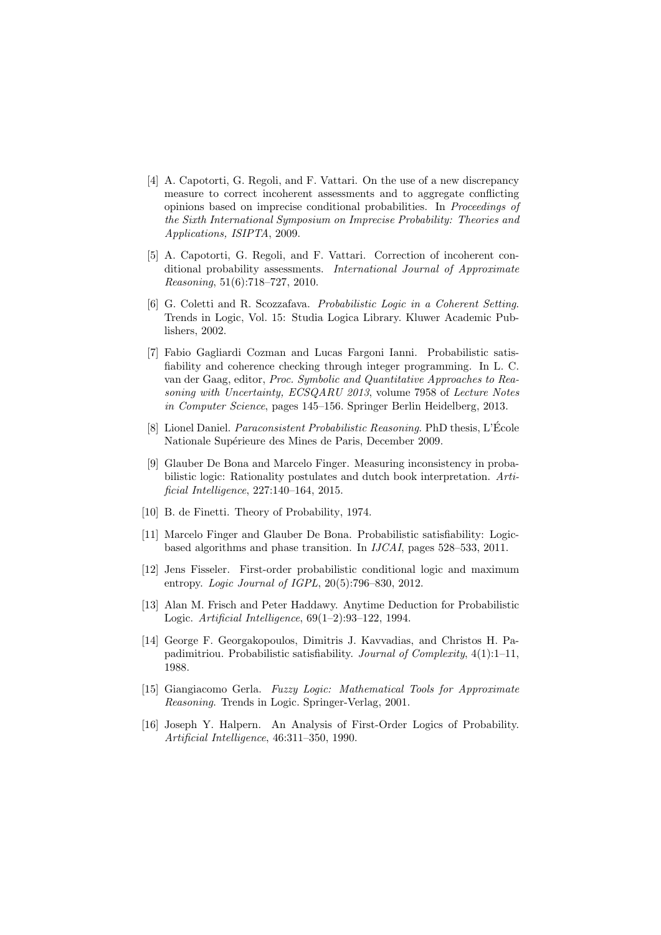- [4] A. Capotorti, G. Regoli, and F. Vattari. On the use of a new discrepancy measure to correct incoherent assessments and to aggregate conflicting opinions based on imprecise conditional probabilities. In Proceedings of the Sixth International Symposium on Imprecise Probability: Theories and Applications, ISIPTA, 2009.
- [5] A. Capotorti, G. Regoli, and F. Vattari. Correction of incoherent conditional probability assessments. International Journal of Approximate Reasoning, 51(6):718–727, 2010.
- [6] G. Coletti and R. Scozzafava. Probabilistic Logic in a Coherent Setting. Trends in Logic, Vol. 15: Studia Logica Library. Kluwer Academic Publishers, 2002.
- [7] Fabio Gagliardi Cozman and Lucas Fargoni Ianni. Probabilistic satisfiability and coherence checking through integer programming. In L. C. van der Gaag, editor, Proc. Symbolic and Quantitative Approaches to Reasoning with Uncertainty, ECSQARU 2013, volume 7958 of Lecture Notes in Computer Science, pages 145–156. Springer Berlin Heidelberg, 2013.
- [8] Lionel Daniel. Paraconsistent Probabilistic Reasoning. PhD thesis, L'Ecole ´ Nationale Supérieure des Mines de Paris, December 2009.
- [9] Glauber De Bona and Marcelo Finger. Measuring inconsistency in probabilistic logic: Rationality postulates and dutch book interpretation. Artificial Intelligence, 227:140–164, 2015.
- [10] B. de Finetti. Theory of Probability, 1974.
- [11] Marcelo Finger and Glauber De Bona. Probabilistic satisfiability: Logicbased algorithms and phase transition. In IJCAI, pages 528–533, 2011.
- [12] Jens Fisseler. First-order probabilistic conditional logic and maximum entropy. Logic Journal of IGPL, 20(5):796–830, 2012.
- [13] Alan M. Frisch and Peter Haddawy. Anytime Deduction for Probabilistic Logic. Artificial Intelligence, 69(1–2):93–122, 1994.
- [14] George F. Georgakopoulos, Dimitris J. Kavvadias, and Christos H. Papadimitriou. Probabilistic satisfiability. Journal of Complexity,  $4(1):1-11$ , 1988.
- [15] Giangiacomo Gerla. Fuzzy Logic: Mathematical Tools for Approximate Reasoning. Trends in Logic. Springer-Verlag, 2001.
- [16] Joseph Y. Halpern. An Analysis of First-Order Logics of Probability. Artificial Intelligence, 46:311–350, 1990.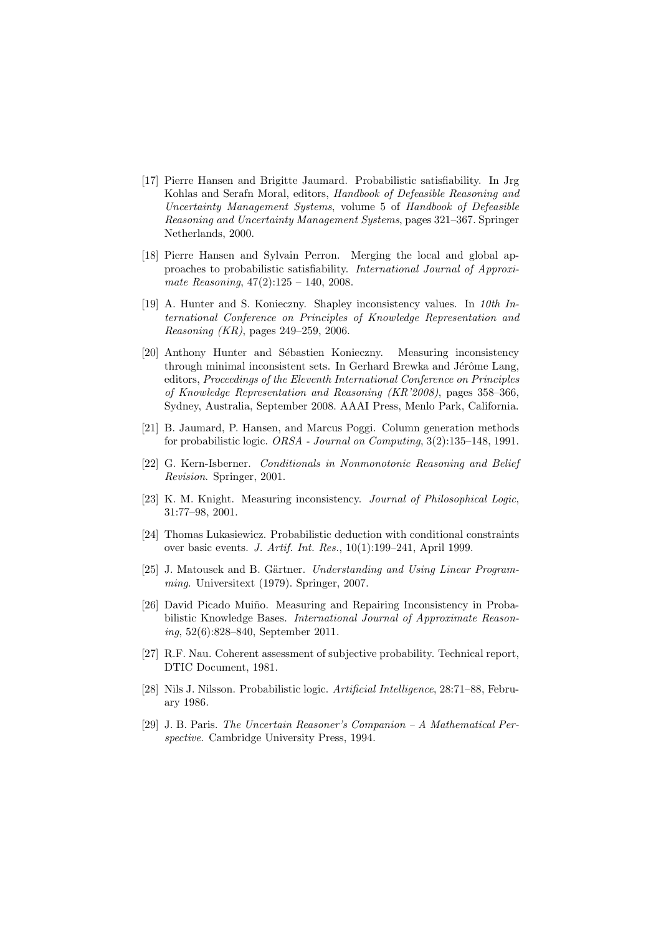- [17] Pierre Hansen and Brigitte Jaumard. Probabilistic satisfiability. In Jrg Kohlas and Serafn Moral, editors, Handbook of Defeasible Reasoning and Uncertainty Management Systems, volume 5 of Handbook of Defeasible Reasoning and Uncertainty Management Systems, pages 321–367. Springer Netherlands, 2000.
- [18] Pierre Hansen and Sylvain Perron. Merging the local and global approaches to probabilistic satisfiability. International Journal of Approximate Reasoning, 47(2):125 – 140, 2008.
- [19] A. Hunter and S. Konieczny. Shapley inconsistency values. In 10th International Conference on Principles of Knowledge Representation and Reasoning (KR), pages 249–259, 2006.
- [20] Anthony Hunter and Sébastien Konieczny. Measuring inconsistency through minimal inconsistent sets. In Gerhard Brewka and Jérôme Lang, editors, Proceedings of the Eleventh International Conference on Principles of Knowledge Representation and Reasoning (KR'2008), pages 358–366, Sydney, Australia, September 2008. AAAI Press, Menlo Park, California.
- [21] B. Jaumard, P. Hansen, and Marcus Poggi. Column generation methods for probabilistic logic. ORSA - Journal on Computing, 3(2):135–148, 1991.
- [22] G. Kern-Isberner. Conditionals in Nonmonotonic Reasoning and Belief Revision. Springer, 2001.
- [23] K. M. Knight. Measuring inconsistency. Journal of Philosophical Logic, 31:77–98, 2001.
- [24] Thomas Lukasiewicz. Probabilistic deduction with conditional constraints over basic events. J. Artif. Int. Res., 10(1):199–241, April 1999.
- [25] J. Matousek and B. Gärtner. Understanding and Using Linear Programming. Universitext (1979). Springer, 2007.
- [26] David Picado Muiño. Measuring and Repairing Inconsistency in Probabilistic Knowledge Bases. International Journal of Approximate Reasoning, 52(6):828–840, September 2011.
- [27] R.F. Nau. Coherent assessment of subjective probability. Technical report, DTIC Document, 1981.
- [28] Nils J. Nilsson. Probabilistic logic. Artificial Intelligence, 28:71–88, February 1986.
- [29] J. B. Paris. The Uncertain Reasoner's Companion A Mathematical Perspective. Cambridge University Press, 1994.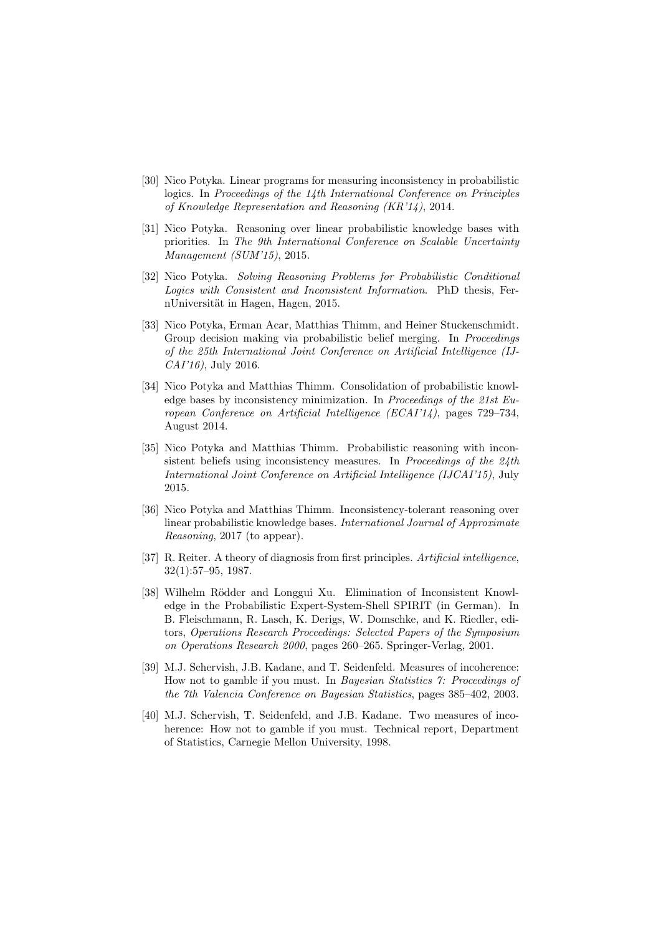- [30] Nico Potyka. Linear programs for measuring inconsistency in probabilistic logics. In Proceedings of the 14th International Conference on Principles of Knowledge Representation and Reasoning (KR'14), 2014.
- [31] Nico Potyka. Reasoning over linear probabilistic knowledge bases with priorities. In The 9th International Conference on Scalable Uncertainty Management (SUM'15), 2015.
- [32] Nico Potyka. Solving Reasoning Problems for Probabilistic Conditional Logics with Consistent and Inconsistent Information. PhD thesis, FernUniversität in Hagen, Hagen, 2015.
- [33] Nico Potyka, Erman Acar, Matthias Thimm, and Heiner Stuckenschmidt. Group decision making via probabilistic belief merging. In Proceedings of the 25th International Joint Conference on Artificial Intelligence (IJ-CAI'16), July 2016.
- [34] Nico Potyka and Matthias Thimm. Consolidation of probabilistic knowledge bases by inconsistency minimization. In Proceedings of the 21st European Conference on Artificial Intelligence (ECAI'14), pages 729–734, August 2014.
- [35] Nico Potyka and Matthias Thimm. Probabilistic reasoning with inconsistent beliefs using inconsistency measures. In Proceedings of the 24th International Joint Conference on Artificial Intelligence (IJCAI'15), July 2015.
- [36] Nico Potyka and Matthias Thimm. Inconsistency-tolerant reasoning over linear probabilistic knowledge bases. International Journal of Approximate Reasoning, 2017 (to appear).
- [37] R. Reiter. A theory of diagnosis from first principles. Artificial intelligence, 32(1):57–95, 1987.
- [38] Wilhelm Rödder and Longgui Xu. Elimination of Inconsistent Knowledge in the Probabilistic Expert-System-Shell SPIRIT (in German). In B. Fleischmann, R. Lasch, K. Derigs, W. Domschke, and K. Riedler, editors, Operations Research Proceedings: Selected Papers of the Symposium on Operations Research 2000, pages 260–265. Springer-Verlag, 2001.
- [39] M.J. Schervish, J.B. Kadane, and T. Seidenfeld. Measures of incoherence: How not to gamble if you must. In Bayesian Statistics 7: Proceedings of the 7th Valencia Conference on Bayesian Statistics, pages 385–402, 2003.
- [40] M.J. Schervish, T. Seidenfeld, and J.B. Kadane. Two measures of incoherence: How not to gamble if you must. Technical report, Department of Statistics, Carnegie Mellon University, 1998.